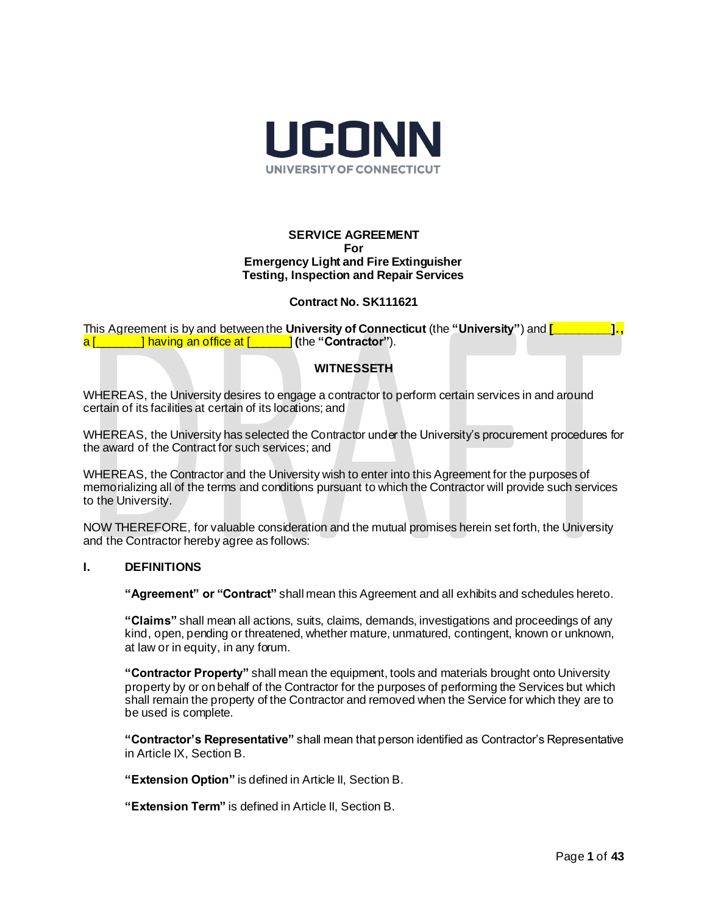

#### **SERVICE AGREEMENT For Emergency Light and Fire Extinguisher Testing, Inspection and Repair Services**

#### **Contract No. SK111621**

This Agreement is by and between the **University of Connecticut** (the **"University"**) and **[\_\_\_\_\_\_\_\_\_].,**  a [\_\_\_\_\_\_\_] having an office at [\_\_\_\_\_\_] **(**the **"Contractor"**).

#### **WITNESSETH**

WHEREAS, the University desires to engage a contractor to perform certain services in and around certain of its facilities at certain of its locations; and

WHEREAS, the University has selected the Contractor under the University's procurement procedures for the award of the Contract for such services; and

WHEREAS, the Contractor and the University wish to enter into this Agreement for the purposes of memorializing all of the terms and conditions pursuant to which the Contractor will provide such services to the University.

NOW THEREFORE, for valuable consideration and the mutual promises herein set forth, the University and the Contractor hereby agree as follows:

#### **I. DEFINITIONS**

**"Agreement" or "Contract"** shall mean this Agreement and all exhibits and schedules hereto.

**"Claims"** shall mean all actions, suits, claims, demands, investigations and proceedings of any kind, open, pending or threatened, whether mature, unmatured, contingent, known or unknown, at law or in equity, in any forum.

**"Contractor Property"** shall mean the equipment, tools and materials brought onto University property by or on behalf of the Contractor for the purposes of performing the Services but which shall remain the property of the Contractor and removed when the Service for which they are to be used is complete.

**"Contractor's Representative"** shall mean that person identified as Contractor's Representative in Article IX, Section B.

**"Extension Option"** is defined in Article II, Section B.

**"Extension Term"** is defined in Article II, Section B.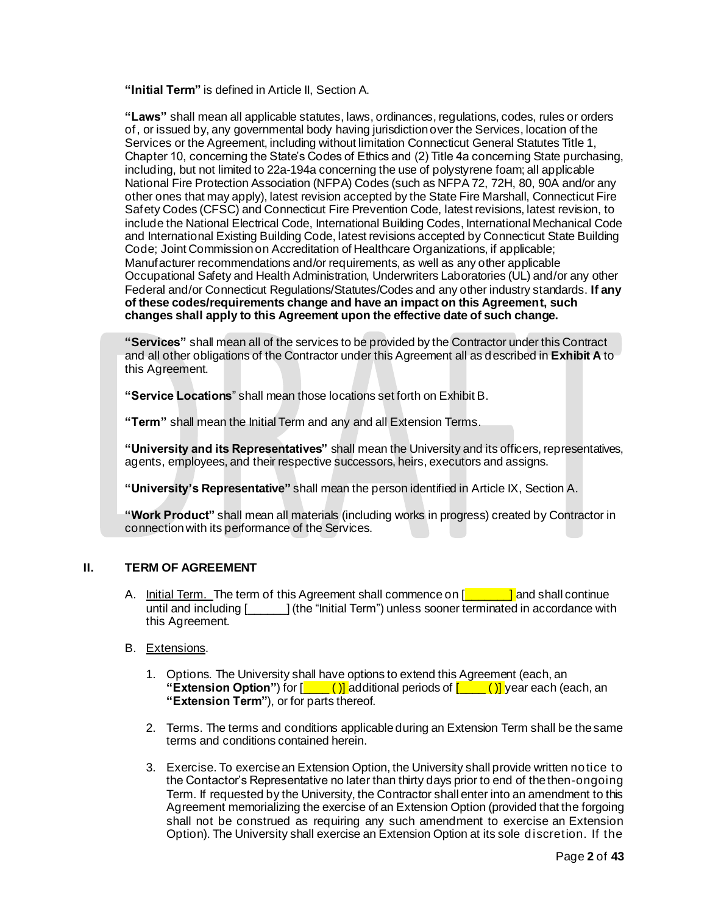**"Initial Term"** is defined in Article II, Section A.

**"Laws"** shall mean all applicable statutes, laws, ordinances, regulations, codes, rules or orders of, or issued by, any governmental body having jurisdiction over the Services, location of the Services or the Agreement, including without limitation Connecticut General Statutes Title 1, Chapter 10, concerning the State's Codes of Ethics and (2) Title 4a concerning State purchasing, including, but not limited to 22a-194a concerning the use of polystyrene foam; all applicable National Fire Protection Association (NFPA) Codes (such as NFPA 72, 72H, 80, 90A and/or any other ones that may apply), latest revision accepted by the State Fire Marshall, Connecticut Fire Safety Codes (CFSC) and Connecticut Fire Prevention Code, latest revisions, latest revision, to include the National Electrical Code, International Building Codes, International Mechanical Code and International Existing Building Code, latest revisions accepted by Connecticut State Building Code; Joint Commission on Accreditation of Healthcare Organizations, if applicable; Manufacturer recommendations and/or requirements, as well as any other applicable Occupational Safety and Health Administration, Underwriters Laboratories (UL) and/or any other Federal and/or Connecticut Regulations/Statutes/Codes and any other industry standards. **If any of these codes/requirements change and have an impact on this Agreement, such changes shall apply to this Agreement upon the effective date of such change.** 

**"Services"** shall mean all of the services to be provided by the Contractor under this Contract and all other obligations of the Contractor under this Agreement all as described in **Exhibit A** to this Agreement.

**"Service Locations**" shall mean those locations set forth on Exhibit B.

**"Term"** shall mean the Initial Term and any and all Extension Terms.

**"University and its Representatives"** shall mean the University and its officers, representatives, agents, employees, and their respective successors, heirs, executors and assigns.

**"University's Representative"** shall mean the person identified in Article IX, Section A.

**"Work Product"** shall mean all materials (including works in progress) created by Contractor in connection with its performance of the Services.

# **II. TERM OF AGREEMENT**

A. Initial Term. The term of this Agreement shall commence on [**\_\_\_\_\_\_\_\_]** and shall continue until and including [2011] (the "Initial Term") unless sooner terminated in accordance with this Agreement.

# B. Extensions.

- 1. Options. The University shall have options to extend this Agreement (each, an **"Extension Option"**) for  $\left[\frac{\cdot}{\cdot}\right]$  additional periods of  $\left[\frac{\cdot}{\cdot}\right]$  year each (each, an **"Extension Term"**), or for parts thereof.
- 2. Terms. The terms and conditions applicable during an Extension Term shall be the same terms and conditions contained herein.
- 3. Exercise. To exercise an Extension Option, the University shall provide written notice to the Contactor's Representative no later than thirty days prior to end of the then-ongoing Term. If requested by the University, the Contractor shall enter into an amendment to this Agreement memorializing the exercise of an Extension Option (provided that the forgoing shall not be construed as requiring any such amendment to exercise an Extension Option). The University shall exercise an Extension Option at its sole discretion. If the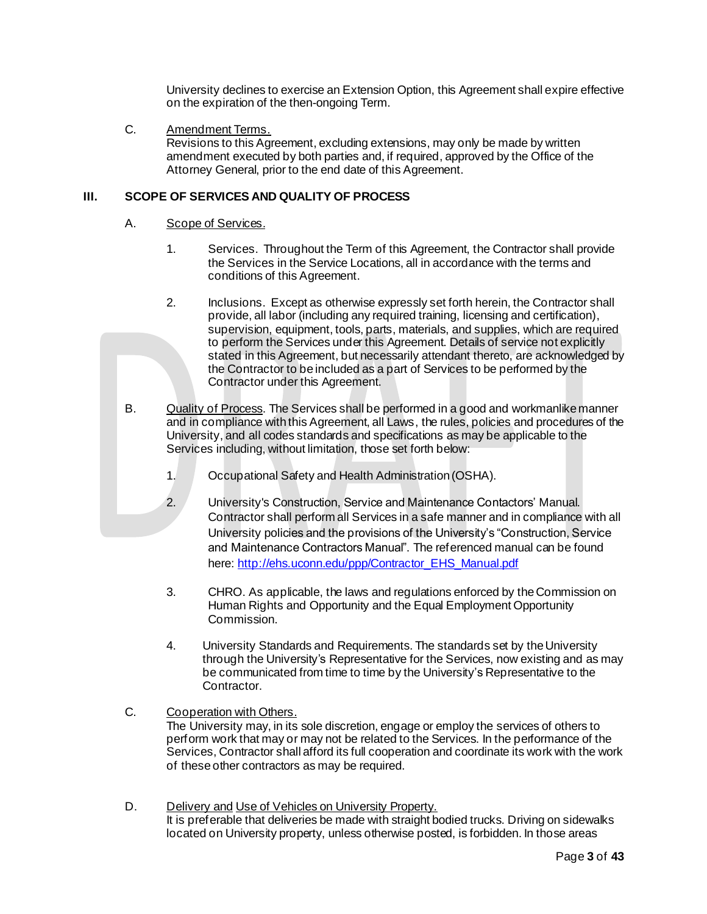University declines to exercise an Extension Option, this Agreement shall expire effective on the expiration of the then-ongoing Term.

#### C. Amendment Terms.

Revisions to this Agreement, excluding extensions, may only be made by written amendment executed by both parties and, if required, approved by the Office of the Attorney General, prior to the end date of this Agreement.

#### **III. SCOPE OF SERVICES AND QUALITY OF PROCESS**

#### A. Scope of Services.

- 1. Services. Throughout the Term of this Agreement, the Contractor shall provide the Services in the Service Locations, all in accordance with the terms and conditions of this Agreement.
- 2. Inclusions. Except as otherwise expressly set forth herein, the Contractor shall provide, all labor (including any required training, licensing and certification), supervision, equipment, tools, parts, materials, and supplies, which are required to perform the Services under this Agreement. Details of service not explicitly stated in this Agreement, but necessarily attendant thereto, are acknowledged by the Contractor to be included as a part of Services to be performed by the Contractor under this Agreement.
- B. Quality of Process. The Services shall be performed in a good and workmanlike manner and in compliance with this Agreement, all Laws, the rules, policies and procedures of the University, and all codes standards and specifications as may be applicable to the Services including, without limitation, those set forth below:
	- 1. Occupational Safety and Health Administration (OSHA).
	- 2. University's Construction, Service and Maintenance Contactors' Manual. Contractor shall perform all Services in a safe manner and in compliance with all University policies and the provisions of the University's "Construction, Service and Maintenance Contractors Manual". The referenced manual can be found here[: http://ehs.uconn.edu/ppp/Contractor\\_EHS\\_Manual.pdf](http://ehs.uconn.edu/ppp/Contractor_EHS_Manual.pdf)
	- 3. CHRO. As applicable, the laws and regulations enforced by the Commission on Human Rights and Opportunity and the Equal Employment Opportunity Commission.
	- 4. University Standards and Requirements. The standards set by the University through the University's Representative for the Services, now existing and as may be communicated from time to time by the University's Representative to the Contractor.

# C. Cooperation with Others.

The University may, in its sole discretion, engage or employ the services of others to perform work that may or may not be related to the Services. In the performance of the Services, Contractor shall afford its full cooperation and coordinate its work with the work of these other contractors as may be required.

D. Delivery and Use of Vehicles on University Property. It is preferable that deliveries be made with straight bodied trucks. Driving on sidewalks located on University property, unless otherwise posted, is forbidden. In those areas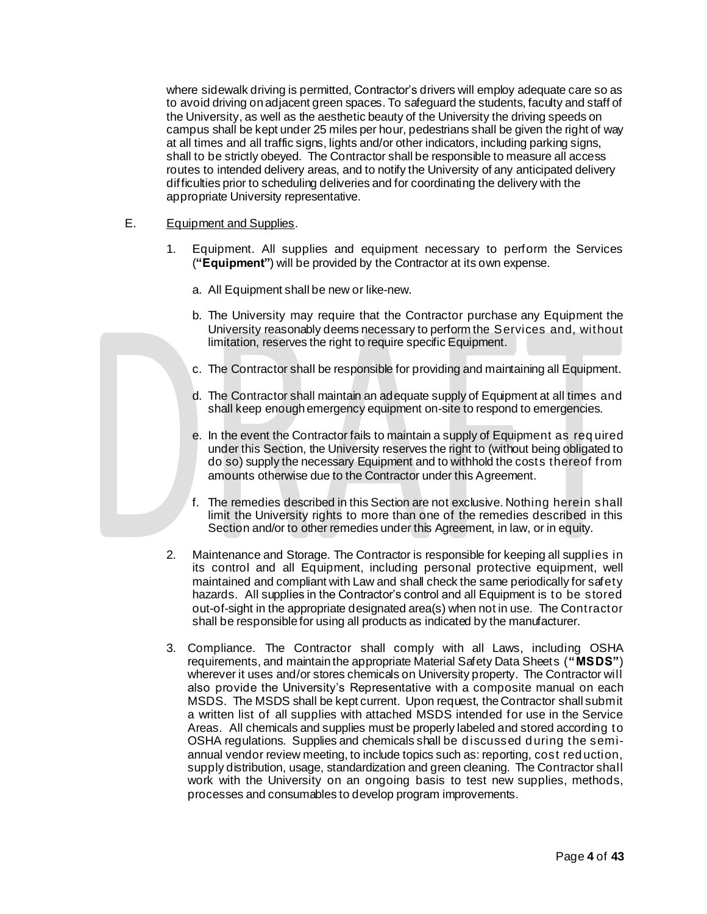where sidewalk driving is permitted, Contractor's drivers will employ adequate care so as to avoid driving on adjacent green spaces. To safeguard the students, faculty and staff of the University, as well as the aesthetic beauty of the University the driving speeds on campus shall be kept under 25 miles per hour, pedestrians shall be given the right of way at all times and all traffic signs, lights and/or other indicators, including parking signs, shall to be strictly obeyed. The Contractor shall be responsible to measure all access routes to intended delivery areas, and to notify the University of any anticipated delivery difficulties prior to scheduling deliveries and for coordinating the delivery with the appropriate University representative.

#### E. Equipment and Supplies.

- 1. Equipment. All supplies and equipment necessary to perform the Services (**"Equipment"**) will be provided by the Contractor at its own expense.
	- a. All Equipment shall be new or like-new.
	- b. The University may require that the Contractor purchase any Equipment the University reasonably deems necessary to perform the Services and, without limitation, reserves the right to require specific Equipment.
	- c. The Contractor shall be responsible for providing and maintaining all Equipment.
	- d. The Contractor shall maintain an adequate supply of Equipment at all times and shall keep enough emergency equipment on-site to respond to emergencies.
	- e. In the event the Contractor fails to maintain a supply of Equipment as req uired under this Section, the University reserves the right to (without being obligated to do so) supply the necessary Equipment and to withhold the costs thereof from amounts otherwise due to the Contractor under this Agreement.
	- f. The remedies described in this Section are not exclusive. Nothing herein shall limit the University rights to more than one of the remedies described in this Section and/or to other remedies under this Agreement, in law, or in equity.
- 2. Maintenance and Storage. The Contractor is responsible for keeping all supplies in its control and all Equipment, including personal protective equipment, well maintained and compliant with Law and shall check the same periodically for safety hazards. All supplies in the Contractor's control and all Equipment is to be stored out-of-sight in the appropriate designated area(s) when not in use. The Contractor shall be responsible for using all products as indicated by the manufacturer.
- 3. Compliance. The Contractor shall comply with all Laws, including OSHA requirements, and maintain the appropriate Material Safety Data Sheets (**"MSDS"**) wherever it uses and/or stores chemicals on University property. The Contractor will also provide the University's Representative with a composite manual on each MSDS. The MSDS shall be kept current. Upon request, the Contractor shall submit a written list of all supplies with attached MSDS intended for use in the Service Areas. All chemicals and supplies must be properly labeled and stored according to OSHA regulations. Supplies and chemicals shall be discussed during the semiannual vendor review meeting, to include topics such as: reporting, cost reduction, supply distribution, usage, standardization and green cleaning. The Contractor shall work with the University on an ongoing basis to test new supplies, methods, processes and consumables to develop program improvements.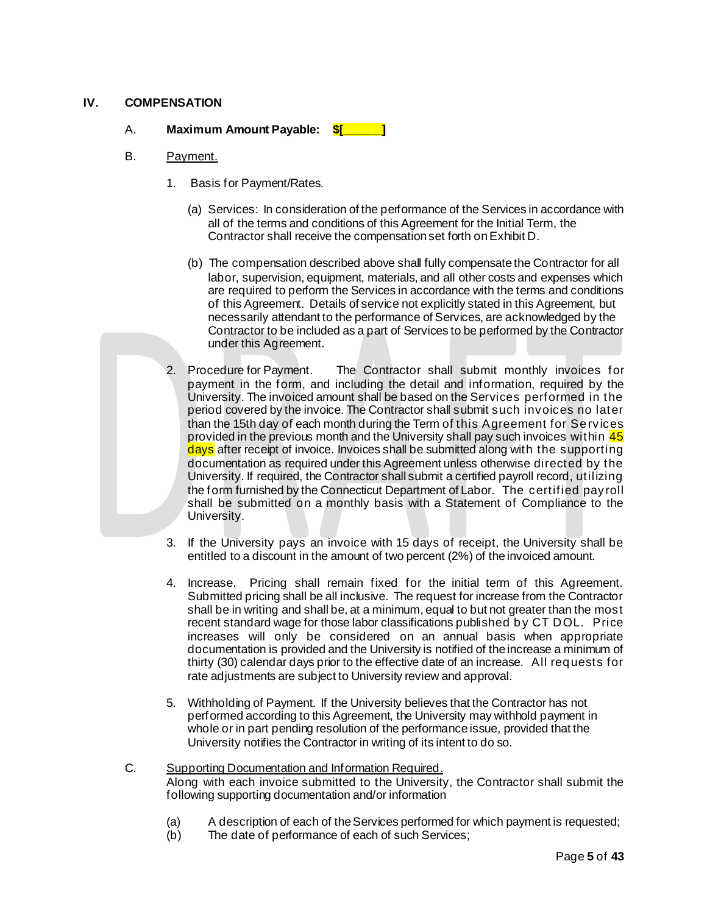# **IV. COMPENSATION**

# A. **Maximum Amount Payable: \$[\_\_\_\_\_\_]**

#### B. Payment.

- 1. Basis for Payment/Rates.
	- (a) Services: In consideration of the performance of the Services in accordance with all of the terms and conditions of this Agreement for the Initial Term, the Contractor shall receive the compensation set forth on Exhibit D.
	- (b) The compensation described above shall fully compensate the Contractor for all labor, supervision, equipment, materials, and all other costs and expenses which are required to perform the Services in accordance with the terms and conditions of this Agreement. Details of service not explicitly stated in this Agreement, but necessarily attendant to the performance of Services, are acknowledged by the Contractor to be included as a part of Services to be performed by the Contractor under this Agreement.
- 2. Procedure for Payment. The Contractor shall submit monthly invoices for payment in the form, and including the detail and information, required by the University. The invoiced amount shall be based on the Services performed in the period covered by the invoice. The Contractor shall submit such invoices no later than the 15th day of each month during the Term of this Agreement for Services provided in the previous month and the University shall pay such invoices within 45 days after receipt of invoice. Invoices shall be submitted along with the supporting documentation as required under this Agreement unless otherwise directed by the University. If required, the Contractor shall submit a certified payroll record, utilizing the form furnished by the Connecticut Department of Labor. The certified payroll shall be submitted on a monthly basis with a Statement of Compliance to the University.
- 3. If the University pays an invoice with 15 days of receipt, the University shall be entitled to a discount in the amount of two percent (2%) of the invoiced amount.
- 4. Increase. Pricing shall remain fixed for the initial term of this Agreement. Submitted pricing shall be all inclusive. The request for increase from the Contractor shall be in writing and shall be, at a minimum, equal to but not greater than the most recent standard wage for those labor classifications published by CT DOL. Price increases will only be considered on an annual basis when appropriate documentation is provided and the University is notified of the increase a minimum of thirty (30) calendar days prior to the effective date of an increase. All requests for rate adjustments are subject to University review and approval.
- 5. Withholding of Payment. If the University believes that the Contractor has not performed according to this Agreement, the University may withhold payment in whole or in part pending resolution of the performance issue, provided that the University notifies the Contractor in writing of its intent to do so.

#### C. Supporting Documentation and Information Required. Along with each invoice submitted to the University, the Contractor shall submit the following supporting documentation and/or information

- (a) A description of each of the Services performed for which payment is requested;
- (b) The date of performance of each of such Services;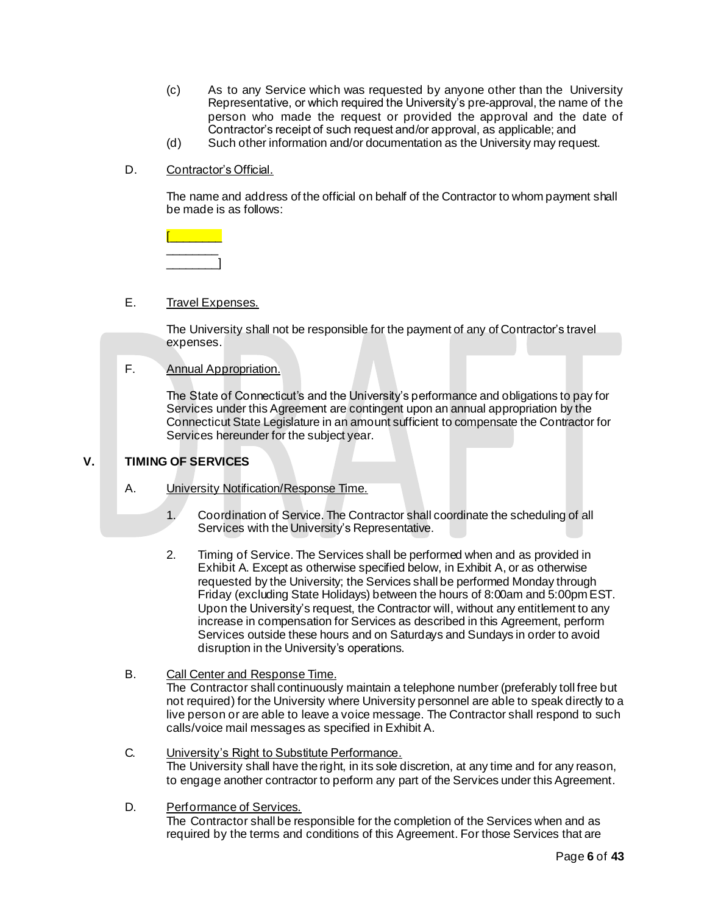- (c) As to any Service which was requested by anyone other than the University Representative, or which required the University's pre-approval, the name of the person who made the request or provided the approval and the date of Contractor's receipt of such request and/or approval, as applicable; and
- (d) Such other information and/or documentation as the University may request.
- D. Contractor's Official.

The name and address of the official on behalf of the Contractor to whom payment shall be made is as follows:

#### E. Travel Expenses.

The University shall not be responsible for the payment of any of Contractor's travel expenses.

#### F. Annual Appropriation.

The State of Connecticut's and the University's performance and obligations to pay for Services under this Agreement are contingent upon an annual appropriation by the Connecticut State Legislature in an amount sufficient to compensate the Contractor for Services hereunder for the subject year.

#### **V. TIMING OF SERVICES**

- A. **University Notification/Response Time.** 
	- 1. Coordination of Service. The Contractor shall coordinate the scheduling of all Services with the University's Representative.
	- 2. Timing of Service. The Services shall be performed when and as provided in Exhibit A. Except as otherwise specified below, in Exhibit A, or as otherwise requested by the University; the Services shall be performed Monday through Friday (excluding State Holidays) between the hours of 8:00am and 5:00pm EST. Upon the University's request, the Contractor will, without any entitlement to any increase in compensation for Services as described in this Agreement, perform Services outside these hours and on Saturdays and Sundays in order to avoid disruption in the University's operations.

# B. Call Center and Response Time.

The Contractor shall continuously maintain a telephone number (preferably toll free but not required) for the University where University personnel are able to speak directly to a live person or are able to leave a voice message. The Contractor shall respond to such calls/voice mail messages as specified in Exhibit A.

- C. University's Right to Substitute Performance. The University shall have the right, in its sole discretion, at any time and for any reason, to engage another contractor to perform any part of the Services under this Agreement.
- D. Performance of Services.

The Contractor shall be responsible for the completion of the Services when and as required by the terms and conditions of this Agreement. For those Services that are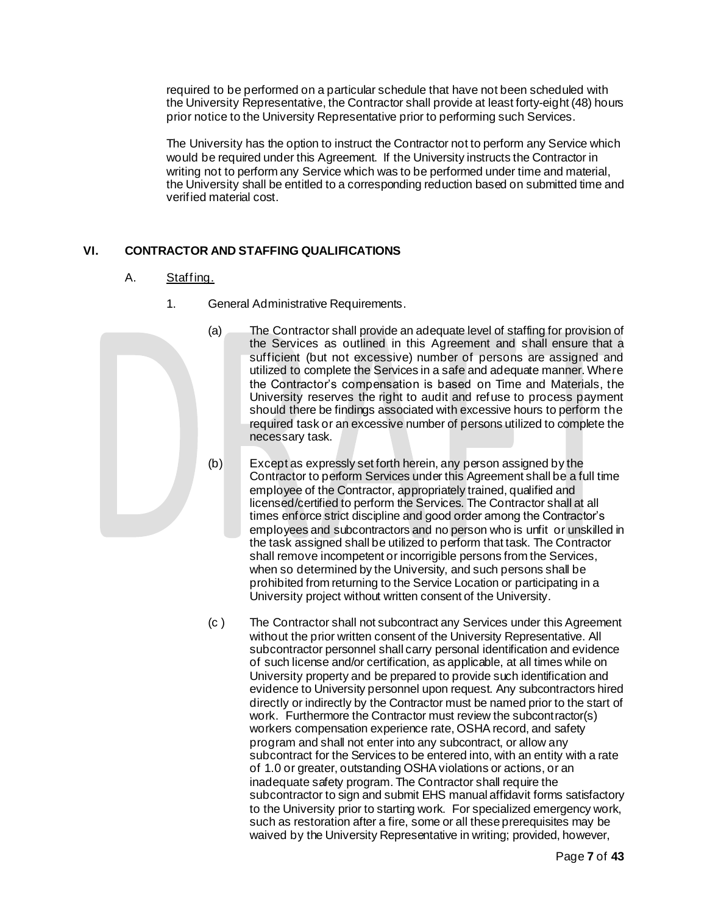required to be performed on a particular schedule that have not been scheduled with the University Representative, the Contractor shall provide at least forty-eight (48) hours prior notice to the University Representative prior to performing such Services.

The University has the option to instruct the Contractor not to perform any Service which would be required under this Agreement. If the University instructs the Contractor in writing not to perform any Service which was to be performed under time and material, the University shall be entitled to a corresponding reduction based on submitted time and verified material cost.

# **VI. CONTRACTOR AND STAFFING QUALIFICATIONS**

# A. Staffing.

- 1. General Administrative Requirements.
	- (a) The Contractor shall provide an adequate level of staffing for provision of the Services as outlined in this Agreement and shall ensure that a sufficient (but not excessive) number of persons are assigned and utilized to complete the Services in a safe and adequate manner. Where the Contractor's compensation is based on Time and Materials, the University reserves the right to audit and refuse to process payment should there be findings associated with excessive hours to perform the required task or an excessive number of persons utilized to complete the necessary task.
	- (b) Except as expressly set forth herein, any person assigned by the Contractor to perform Services under this Agreement shall be a full time employee of the Contractor, appropriately trained, qualified and licensed/certified to perform the Services. The Contractor shall at all times enforce strict discipline and good order among the Contractor's employees and subcontractors and no person who is unfit or unskilled in the task assigned shall be utilized to perform that task. The Contractor shall remove incompetent or incorrigible persons from the Services, when so determined by the University, and such persons shall be prohibited from returning to the Service Location or participating in a University project without written consent of the University.
	- (c ) The Contractor shall not subcontract any Services under this Agreement without the prior written consent of the University Representative. All subcontractor personnel shall carry personal identification and evidence of such license and/or certification, as applicable, at all times while on University property and be prepared to provide such identification and evidence to University personnel upon request. Any subcontractors hired directly or indirectly by the Contractor must be named prior to the start of work. Furthermore the Contractor must review the subcontractor(s) workers compensation experience rate, OSHA record, and safety program and shall not enter into any subcontract, or allow any subcontract for the Services to be entered into, with an entity with a rate of 1.0 or greater, outstanding OSHA violations or actions, or an inadequate safety program. The Contractor shall require the subcontractor to sign and submit EHS manual affidavit forms satisfactory to the University prior to starting work. For specialized emergency work, such as restoration after a fire, some or all these prerequisites may be waived by the University Representative in writing; provided, however,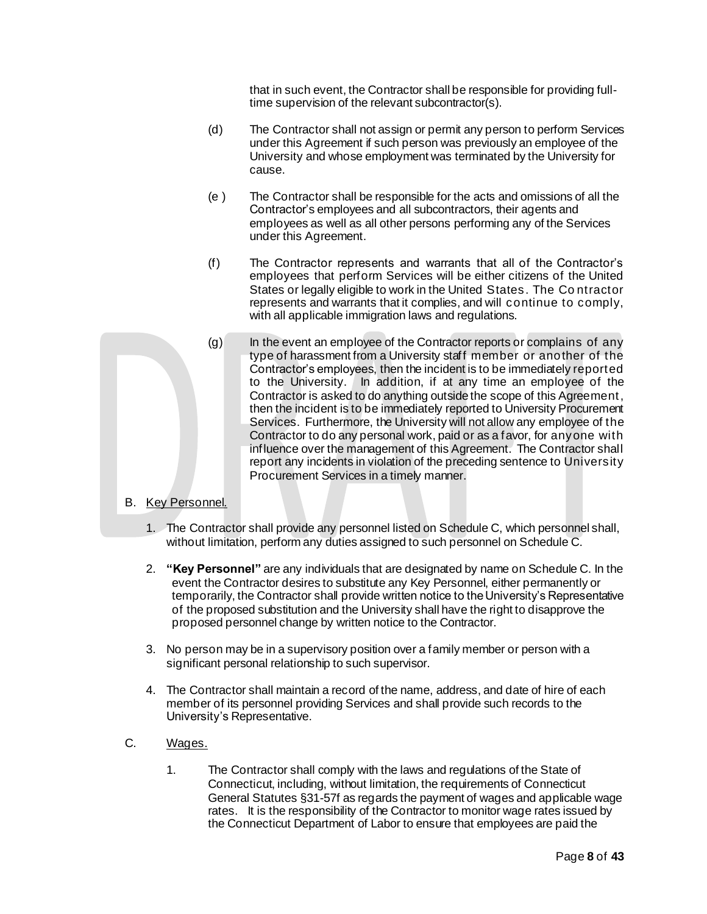that in such event, the Contractor shall be responsible for providing fulltime supervision of the relevant subcontractor(s).

- (d) The Contractor shall not assign or permit any person to perform Services under this Agreement if such person was previously an employee of the University and whose employment was terminated by the University for cause.
- (e ) The Contractor shall be responsible for the acts and omissions of all the Contractor's employees and all subcontractors, their agents and employees as well as all other persons performing any of the Services under this Agreement.
- (f) The Contractor represents and warrants that all of the Contractor's employees that perform Services will be either citizens of the United States or legally eligible to work in the United States. The Co ntractor represents and warrants that it complies, and will continue to comply, with all applicable immigration laws and regulations.
- $(q)$  In the event an employee of the Contractor reports or complains of any type of harassment from a University staff member or another of the Contractor's employees, then the incident is to be immediately reported to the University. In addition, if at any time an employee of the Contractor is asked to do anything outside the scope of this Agreement, then the incident is to be immediately reported to University Procurement Services. Furthermore, the University will not allow any employee of the Contractor to do any personal work, paid or as a favor, for anyone with influence over the management of this Agreement. The Contractor shall report any incidents in violation of the preceding sentence to University Procurement Services in a timely manner.
- B. Key Personnel.
	- 1. The Contractor shall provide any personnel listed on Schedule C, which personnel shall, without limitation, perform any duties assigned to such personnel on Schedule C.
	- 2. **"Key Personnel"** are any individuals that are designated by name on Schedule C. In the event the Contractor desires to substitute any Key Personnel, either permanently or temporarily, the Contractor shall provide written notice to the University's Representative of the proposed substitution and the University shall have the right to disapprove the proposed personnel change by written notice to the Contractor.
	- 3. No person may be in a supervisory position over a family member or person with a significant personal relationship to such supervisor.
	- 4. The Contractor shall maintain a record of the name, address, and date of hire of each member of its personnel providing Services and shall provide such records to the University's Representative.

#### C. Wages.

1. The Contractor shall comply with the laws and regulations of the State of Connecticut, including, without limitation, the requirements of Connecticut General Statutes §31-57f as regards the payment of wages and applicable wage rates. It is the responsibility of the Contractor to monitor wage rates issued by the Connecticut Department of Labor to ensure that employees are paid the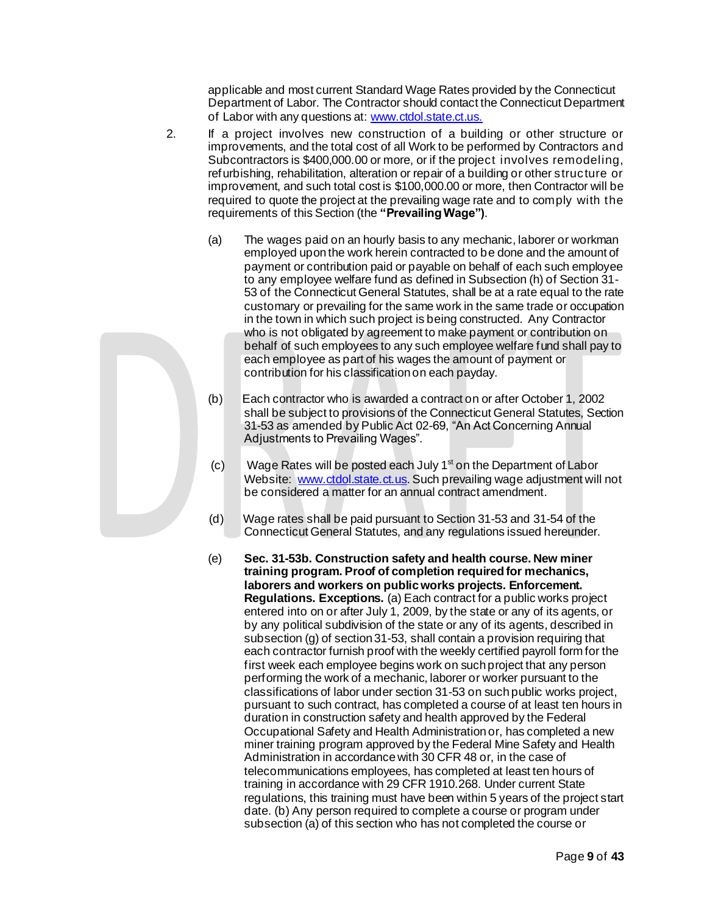applicable and most current Standard Wage Rates provided by the Connecticut Department of Labor. The Contractor should contact the Connecticut Department of Labor with any questions at[: www.ctdol.state.ct.us.](http://www.ctdol.state.ct.us/)

- 2. If a project involves new construction of a building or other structure or improvements, and the total cost of all Work to be performed by Contractors and Subcontractors is \$400,000.00 or more, or if the project involves remodeling, refurbishing, rehabilitation, alteration or repair of a building or other structure or improvement, and such total cost is \$100,000.00 or more, then Contractor will be required to quote the project at the prevailing wage rate and to comply with the requirements of this Section (the **"Prevailing Wage")**.
	- (a) The wages paid on an hourly basis to any mechanic, laborer or workman employed upon the work herein contracted to be done and the amount of payment or contribution paid or payable on behalf of each such employee to any employee welfare fund as defined in Subsection (h) of Section 31- 53 of the Connecticut General Statutes, shall be at a rate equal to the rate customary or prevailing for the same work in the same trade or occupation in the town in which such project is being constructed. Any Contractor who is not obligated by agreement to make payment or contribution on behalf of such employees to any such employee welfare fund shall pay to each employee as part of his wages the amount of payment or contribution for his classification on each payday.
	- (b) Each contractor who is awarded a contract on or after October 1, 2002 shall be subject to provisions of the Connecticut General Statutes, Section 31-53 as amended by Public Act 02-69, "An Act Concerning Annual Adjustments to Prevailing Wages".
	- $(c)$  Wage Rates will be posted each July 1<sup>st</sup> on the Department of Labor Website: [www.ctdol.state.ct.us](https://na01.safelinks.protection.outlook.com/?url=http%3A%2F%2Fwww.ctdol.state.ct.us%2F&data=02%7C01%7Cleslie.cote%40uconn.edu%7C32f137693e874123504208d665f3b8a6%7C17f1a87e2a254eaab9df9d439034b080%7C0%7C0%7C636808494779370169&sdata=HdTCiPR63J32XirfKY5Zghxc2lEgJWHqKz2en3fzGMc%3D&reserved=0). Such prevailing wage adjustment will not be considered a matter for an annual contract amendment.
	- (d) Wage rates shall be paid pursuant to Section 31-53 and 31-54 of the Connecticut General Statutes, and any regulations issued hereunder.
	- (e) **Sec. 31-53b. Construction safety and health course. New miner training program. Proof of completion required for mechanics, laborers and workers on public works projects. Enforcement. Regulations. Exceptions.** (a) Each contract for a public works project entered into on or after July 1, 2009, by the state or any of its agents, or by any political subdivision of the state or any of its agents, described in subsection (g) of section 31-53, shall contain a provision requiring that each contractor furnish proof with the weekly certified payroll form for the first week each employee begins work on such project that any person performing the work of a mechanic, laborer or worker pursuant to the classifications of labor under section 31-53 on such public works project, pursuant to such contract, has completed a course of at least ten hours in duration in construction safety and health approved by the Federal Occupational Safety and Health Administration or, has completed a new miner training program approved by the Federal Mine Safety and Health Administration in accordance with 30 CFR 48 or, in the case of telecommunications employees, has completed at least ten hours of training in accordance with 29 CFR 1910.268. Under current State regulations, this training must have been within 5 years of the project start date. (b) Any person required to complete a course or program under subsection (a) of this section who has not completed the course or

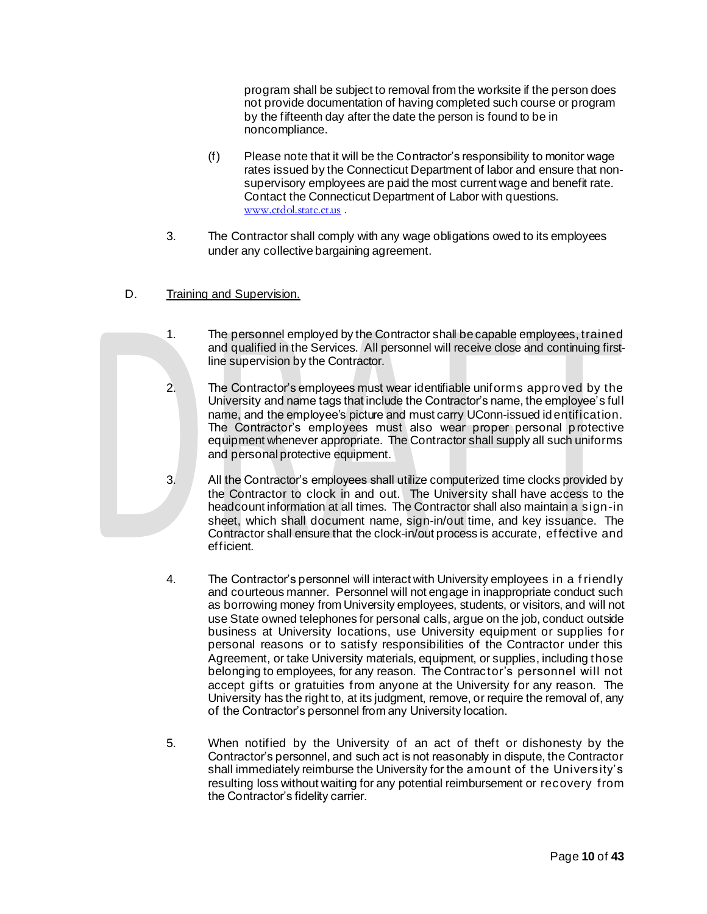program shall be subject to removal from the worksite if the person does not provide documentation of having completed such course or program by the fifteenth day after the date the person is found to be in noncompliance.

- (f) Please note that it will be the Contractor's responsibility to monitor wage rates issued by the Connecticut Department of labor and ensure that nonsupervisory employees are paid the most current wage and benefit rate. Contact the Connecticut Department of Labor with questions. [www.ctdol.state.ct.us](https://na01.safelinks.protection.outlook.com/?url=http%3A%2F%2Fwww.ctdol.state.ct.us&data=02%7C01%7Cleslie.cote%40uconn.edu%7C32f137693e874123504208d665f3b8a6%7C17f1a87e2a254eaab9df9d439034b080%7C0%7C0%7C636808494779380182&sdata=CL5lzb56%2B83x5R%2FTtmu0qGIiX82ZjgleC3nPsFFeQdw%3D&reserved=0) .
- 3. The Contractor shall comply with any wage obligations owed to its employees under any collective bargaining agreement.
- D. Training and Supervision.
	- 1. The personnel employed by the Contractor shall be capable employees, trained and qualified in the Services. All personnel will receive close and continuing firstline supervision by the Contractor.
	- 2. The Contractor's employees must wear identifiable uniforms approved by the University and name tags that include the Contractor's name, the employee's full name, and the employee's picture and must carry UConn-issued identification. The Contractor's employees must also wear proper personal protective equipment whenever appropriate. The Contractor shall supply all such uniforms and personal protective equipment.
	- 3. All the Contractor's employees shall utilize computerized time clocks provided by the Contractor to clock in and out. The University shall have access to the headcount information at all times. The Contractor shall also maintain a sign-in sheet, which shall document name, sign-in/out time, and key issuance. The Contractor shall ensure that the clock-in/out process is accurate, effective and efficient.
	- 4. The Contractor's personnel will interact with University employees in a f riendly and courteous manner. Personnel will not engage in inappropriate conduct such as borrowing money from University employees, students, or visitors, and will not use State owned telephones for personal calls, argue on the job, conduct outside business at University locations, use University equipment or supplies for personal reasons or to satisfy responsibilities of the Contractor under this Agreement, or take University materials, equipment, or supplies, including those belonging to employees, for any reason. The Contractor's personnel will not accept gifts or gratuities from anyone at the University for any reason. The University has the right to, at its judgment, remove, or require the removal of, any of the Contractor's personnel from any University location.
	- 5. When notified by the University of an act of theft or dishonesty by the Contractor's personnel, and such act is not reasonably in dispute, the Contractor shall immediately reimburse the University for the amount of the University's resulting loss without waiting for any potential reimbursement or recovery from the Contractor's fidelity carrier.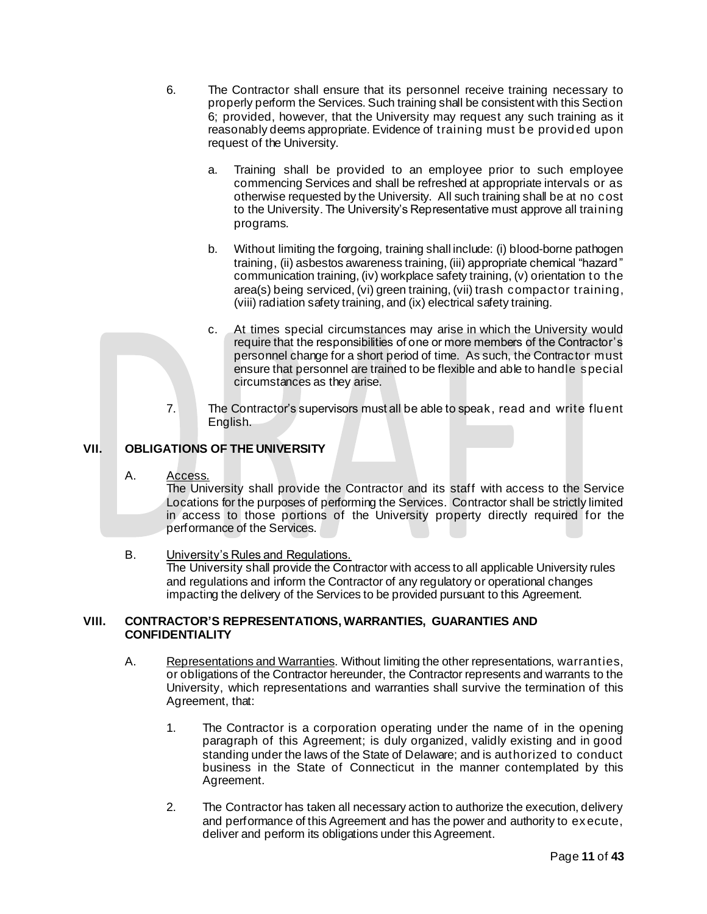- 6. The Contractor shall ensure that its personnel receive training necessary to properly perform the Services. Such training shall be consistent with this Section 6; provided, however, that the University may request any such training as it reasonably deems appropriate. Evidence of training must be provid ed upon request of the University.
	- a. Training shall be provided to an employee prior to such employee commencing Services and shall be refreshed at appropriate intervals or as otherwise requested by the University. All such training shall be at no cost to the University. The University's Representative must approve all training programs.
	- b. Without limiting the forgoing, training shall include: (i) blood-borne pathogen training, (ii) asbestos awareness training, (iii) appropriate chemical "hazard" communication training, (iv) workplace safety training, (v) orientation to the area(s) being serviced, (vi) green training, (vii) trash compactor training, (viii) radiation safety training, and (ix) electrical safety training.
	- c. At times special circumstances may arise in which the University would require that the responsibilities of one or more members of the Contractor's personnel change for a short period of time. As such, the Contractor must ensure that personnel are trained to be flexible and able to handle special circumstances as they arise.
- 7. The Contractor's supervisors must all be able to speak, read and write fluent English.

# **VII. OBLIGATIONS OF THE UNIVERSITY**

A. Access.

The University shall provide the Contractor and its staff with access to the Service Locations for the purposes of performing the Services. Contractor shall be strictly limited in access to those portions of the University property directly required for the performance of the Services.

B. University's Rules and Regulations.

The University shall provide the Contractor with access to all applicable University rules and regulations and inform the Contractor of any regulatory or operational changes impacting the delivery of the Services to be provided pursuant to this Agreement.

#### **VIII. CONTRACTOR'S REPRESENTATIONS, WARRANTIES, GUARANTIES AND CONFIDENTIALITY**

- A. Representations and Warranties. Without limiting the other representations, warranties, or obligations of the Contractor hereunder, the Contractor represents and warrants to the University, which representations and warranties shall survive the termination of this Agreement, that:
	- 1. The Contractor is a corporation operating under the name of in the opening paragraph of this Agreement; is duly organized, validly existing and in good standing under the laws of the State of Delaware; and is authorized to conduct business in the State of Connecticut in the manner contemplated by this Agreement.
	- 2. The Contractor has taken all necessary action to authorize the execution, delivery and performance of this Agreement and has the power and authority to ex ecute, deliver and perform its obligations under this Agreement.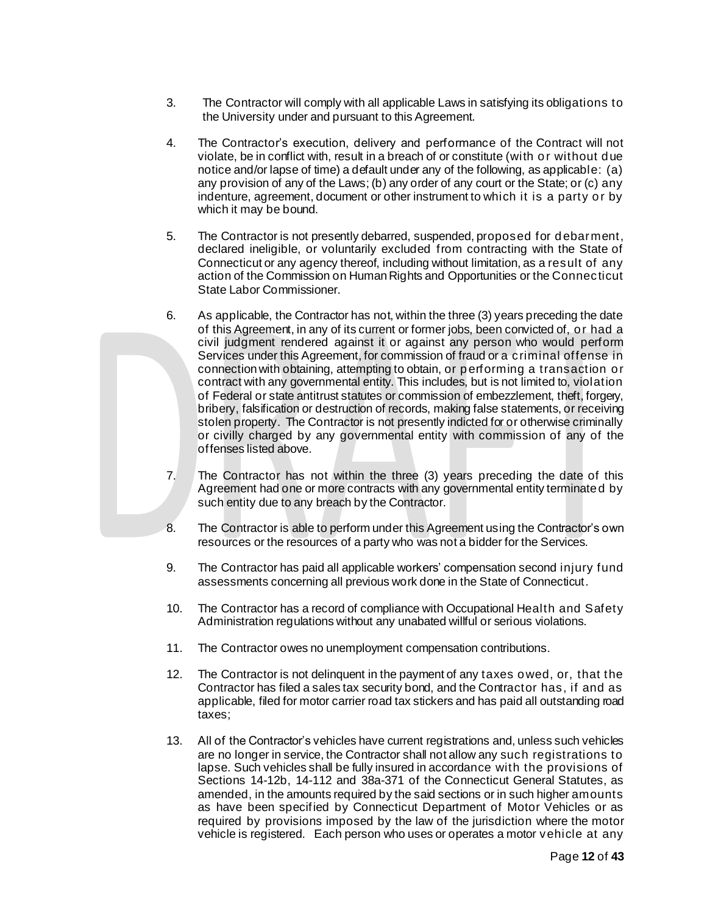- 3. The Contractor will comply with all applicable Laws in satisfying its obligations to the University under and pursuant to this Agreement.
- 4. The Contractor's execution, delivery and performance of the Contract will not violate, be in conflict with, result in a breach of or constitute (with or without due notice and/or lapse of time) a default under any of the following, as applicable: (a) any provision of any of the Laws; (b) any order of any court or the State; or (c) any indenture, agreement, document or other instrument to which it is a party or by which it may be bound.
- 5. The Contractor is not presently debarred, suspended, proposed for debarment, declared ineligible, or voluntarily excluded from contracting with the State of Connecticut or any agency thereof, including without limitation, as a result of any action of the Commission on Human Rights and Opportunities or the Connecticut State Labor Commissioner.
- 6. As applicable, the Contractor has not, within the three (3) years preceding the date of this Agreement, in any of its current or former jobs, been convicted of, or had a civil judgment rendered against it or against any person who would perform Services under this Agreement, for commission of fraud or a criminal offense in connection with obtaining, attempting to obtain, or performing a transaction or contract with any governmental entity. This includes, but is not limited to, violation of Federal or state antitrust statutes or commission of embezzlement, theft, forgery, bribery, falsification or destruction of records, making false statements, or receiving stolen property. The Contractor is not presently indicted for or otherwise criminally or civilly charged by any governmental entity with commission of any of the offenses listed above.
- 7. The Contractor has not within the three (3) years preceding the date of this Agreement had one or more contracts with any governmental entity terminated by such entity due to any breach by the Contractor.
- 8. The Contractor is able to perform under this Agreement using the Contractor's own resources or the resources of a party who was not a bidder for the Services.
- 9. The Contractor has paid all applicable workers' compensation second injury fund assessments concerning all previous work done in the State of Connecticut.
- 10. The Contractor has a record of compliance with Occupational Health and Safety Administration regulations without any unabated willful or serious violations.
- 11. The Contractor owes no unemployment compensation contributions.
- 12. The Contractor is not delinquent in the payment of any taxes owed, or, that the Contractor has filed a sales tax security bond, and the Contractor has, if and as applicable, filed for motor carrier road tax stickers and has paid all outstanding road taxes;
- 13. All of the Contractor's vehicles have current registrations and, unless such vehicles are no longer in service, the Contractor shall not allow any such registrations to lapse. Such vehicles shall be fully insured in accordance with the provisions of Sections 14-12b, 14-112 and 38a-371 of the Connecticut General Statutes, as amended, in the amounts required by the said sections or in such higher amounts as have been specified by Connecticut Department of Motor Vehicles or as required by provisions imposed by the law of the jurisdiction where the motor vehicle is registered. Each person who uses or operates a motor vehicle at any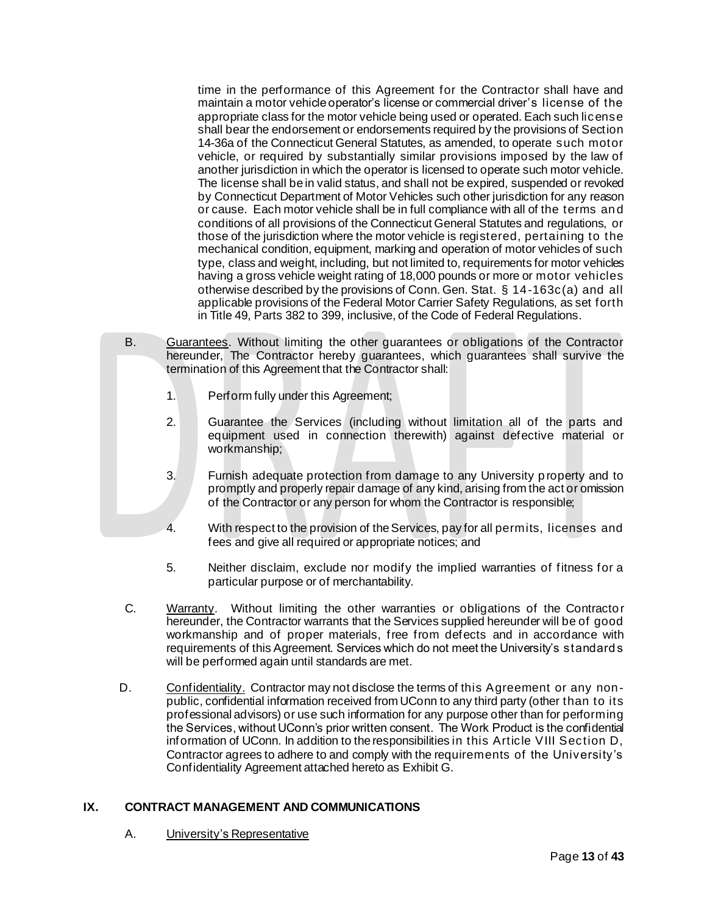time in the performance of this Agreement for the Contractor shall have and maintain a motor vehicle operator's license or commercial driver's license of the appropriate class for the motor vehicle being used or operated. Each such license shall bear the endorsement or endorsements required by the provisions of Section 14-36a of the Connecticut General Statutes, as amended, to operate such motor vehicle, or required by substantially similar provisions imposed by the law of another jurisdiction in which the operator is licensed to operate such motor vehicle. The license shall be in valid status, and shall not be expired, suspended or revoked by Connecticut Department of Motor Vehicles such other jurisdiction for any reason or cause. Each motor vehicle shall be in full compliance with all of the terms an d conditions of all provisions of the Connecticut General Statutes and regulations, or those of the jurisdiction where the motor vehicle is registered, pertaining to the mechanical condition, equipment, marking and operation of motor vehicles of such type, class and weight, including, but not limited to, requirements for motor vehicles having a gross vehicle weight rating of 18,000 pounds or more or motor vehicles otherwise described by the provisions of Conn. Gen. Stat. § 14-163c(a) and all applicable provisions of the Federal Motor Carrier Safety Regulations, as set forth in Title 49, Parts 382 to 399, inclusive, of the Code of Federal Regulations.

- B. Guarantees. Without limiting the other guarantees or obligations of the Contractor hereunder, The Contractor hereby guarantees, which guarantees shall survive the termination of this Agreement that the Contractor shall:
	- 1. Perform fully under this Agreement;
	- 2. Guarantee the Services (including without limitation all of the parts and equipment used in connection therewith) against defective material or workmanship;
	- 3. Furnish adequate protection from damage to any University p roperty and to promptly and properly repair damage of any kind, arising from the act or omission of the Contractor or any person for whom the Contractor is responsible;
	- 4. With respect to the provision of the Services, pay for all permits, licenses and fees and give all required or appropriate notices; and
	- 5. Neither disclaim, exclude nor modify the implied warranties of fitness for a particular purpose or of merchantability.
	- C. Warranty. Without limiting the other warranties or obligations of the Contracto r hereunder, the Contractor warrants that the Services supplied hereunder will be of good workmanship and of proper materials, free from defects and in accordance with requirements of this Agreement. Services which do not meet the University's standards will be performed again until standards are met.
- D. Confidentiality. Contractor may not disclose the terms of this Agreement or any nonpublic, confidential information received from UConn to any third party (other than to its professional advisors) or use such information for any purpose other than for performing the Services, without UConn's prior written consent. The Work Product is the confidential information of UConn. In addition to the responsibilities in this Article VIII Section D, Contractor agrees to adhere to and comply with the requirements of the University's Confidentiality Agreement attached hereto as Exhibit G.

# **IX. CONTRACT MANAGEMENT AND COMMUNICATIONS**

A. University's Representative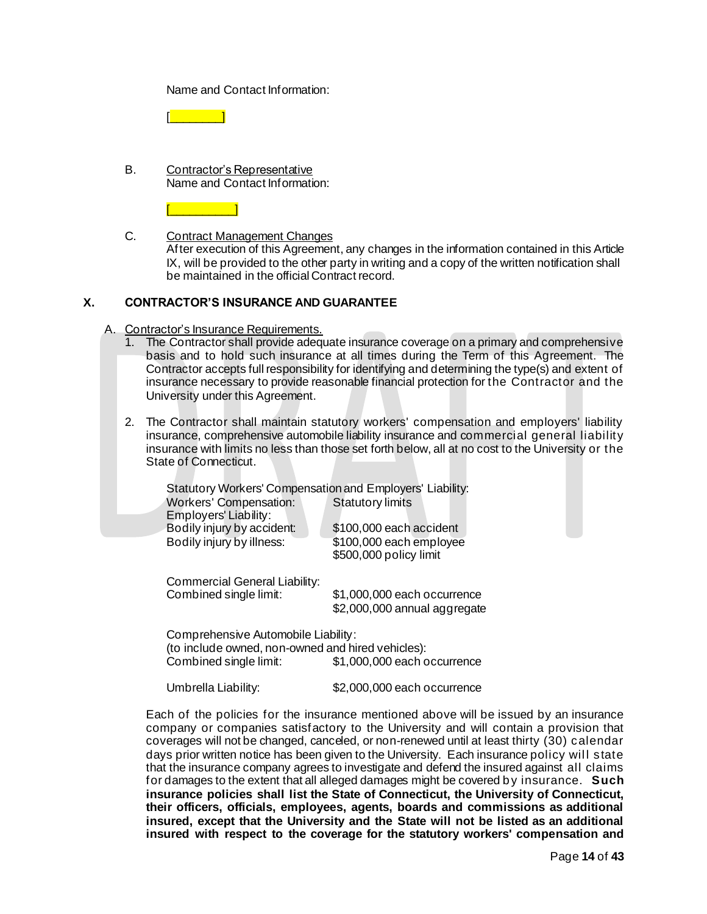Name and Contact Information:

 $\sim$   $\sim$   $\sim$   $\sim$   $\sim$ 

B. Contractor's Representative Name and Contact Information:

 $\Box$ 

C. Contract Management Changes

After execution of this Agreement, any changes in the information contained in this Article IX, will be provided to the other party in writing and a copy of the written notification shall be maintained in the official Contract record.

# **X. CONTRACTOR'S INSURANCE AND GUARANTEE**

A. Contractor's Insurance Requirements.<br>1. The Contractor shall provide adequ

- The Contractor shall provide adequate insurance coverage on a primary and comprehensive basis and to hold such insurance at all times during the Term of this Agreement. The Contractor accepts full responsibility for identifying and determining the type(s) and extent of insurance necessary to provide reasonable financial protection for the Contractor and the University under this Agreement.
- 2. The Contractor shall maintain statutory workers' compensation and employers' liability insurance, comprehensive automobile liability insurance and commercial general liability insurance with limits no less than those set forth below, all at no cost to the University or the State of Connecticut.

| Statutory Workers' Compensation and Employers' Liability:<br>Workers' Compensation:      | <b>Statutory limits</b>      |
|------------------------------------------------------------------------------------------|------------------------------|
| Employers' Liability:                                                                    |                              |
| Bodily injury by accident:                                                               | \$100,000 each accident      |
| Bodily injury by illness:                                                                | \$100,000 each employee      |
|                                                                                          | \$500,000 policy limit       |
| Commercial General Liability:                                                            |                              |
| Combined single limit:                                                                   | \$1,000,000 each occurrence  |
|                                                                                          | \$2,000,000 annual aggregate |
| Comprehensive Automobile Liability:<br>(to include owned, non-owned and hired vehicles): |                              |
| Combined single limit:                                                                   | \$1,000,000 each occurrence  |
| Umbrella Liability:                                                                      | \$2,000,000 each occurrence  |

Each of the policies for the insurance mentioned above will be issued by an insurance company or companies satisfactory to the University and will contain a provision that coverages will not be changed, canceled, or non-renewed until at least thirty (30) calendar days prior written notice has been given to the University. Each insurance policy will state that the insurance company agrees to investigate and defend the insured against all claims for damages to the extent that all alleged damages might be covered by insurance. **Such insurance policies shall list the State of Connecticut, the University of Connecticut, their officers, officials, employees, agents, boards and commissions as additional insured, except that the University and the State will not be listed as an additional insured with respect to the coverage for the statutory workers' compensation and**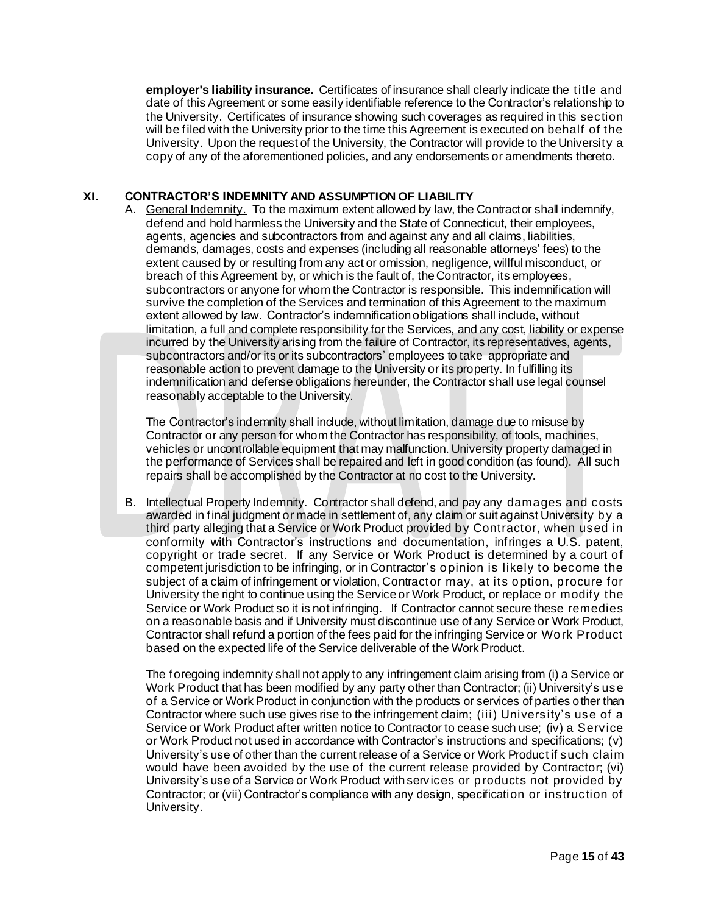**employer's liability insurance.** Certificates of insurance shall clearly indicate the title and date of this Agreement or some easily identifiable reference to the Contractor's relationship to the University. Certificates of insurance showing such coverages as required in this section will be filed with the University prior to the time this Agreement is executed on behalf of the University. Upon the request of the University, the Contractor will provide to the University a copy of any of the aforementioned policies, and any endorsements or amendments thereto.

# **XI. CONTRACTOR'S INDEMNITY AND ASSUMPTION OF LIABILITY**

A. General Indemnity. To the maximum extent allowed by law, the Contractor shall indemnify, defend and hold harmless the University and the State of Connecticut, their employees, agents, agencies and subcontractors from and against any and all claims, liabilities, demands, damages, costs and expenses (including all reasonable attorneys' fees) to the extent caused by or resulting from any act or omission, negligence, willful misconduct, or breach of this Agreement by, or which is the fault of, the Contractor, its employees, subcontractors or anyone for whom the Contractor is responsible. This indemnification will survive the completion of the Services and termination of this Agreement to the maximum extent allowed by law. Contractor's indemnification obligations shall include, without limitation, a full and complete responsibility for the Services, and any cost, liability or expense incurred by the University arising from the failure of Contractor, its representatives, agents, subcontractors and/or its or its subcontractors' employees to take appropriate and reasonable action to prevent damage to the University or its property. In fulfilling its indemnification and defense obligations hereunder, the Contractor shall use legal counsel reasonably acceptable to the University.

The Contractor's indemnity shall include, without limitation, damage due to misuse by Contractor or any person for whom the Contractor has responsibility, of tools, machines, vehicles or uncontrollable equipment that may malfunction. University property damaged in the performance of Services shall be repaired and left in good condition (as found). All such repairs shall be accomplished by the Contractor at no cost to the University.

B. Intellectual Property Indemnity. Contractor shall defend, and pay any damages and costs awarded in final judgment or made in settlement of, any claim or suit against University by a third party alleging that a Service or Work Product provided by Contractor, when used in conformity with Contractor's instructions and documentation, infringes a U.S. patent, copyright or trade secret. If any Service or Work Product is determined by a court of competent jurisdiction to be infringing, or in Contractor's opinion is likely to become the subject of a claim of infringement or violation, Contractor may, at its option, procure for University the right to continue using the Service or Work Product, or replace or modify the Service or Work Product so it is not infringing. If Contractor cannot secure these remedies on a reasonable basis and if University must discontinue use of any Service or Work Product, Contractor shall refund a portion of the fees paid for the infringing Service or Work Product based on the expected life of the Service deliverable of the Work Product.

The foregoing indemnity shall not apply to any infringement claim arising from (i) a Service or Work Product that has been modified by any party other than Contractor; (ii) University's use of a Service or Work Product in conjunction with the products or services of parties other than Contractor where such use gives rise to the infringement claim; (iii) University's use of a Service or Work Product after written notice to Contractor to cease such use; (iv) a Service or Work Product not used in accordance with Contractor's instructions and specifications; (v) University's use of other than the current release of a Service or Work Product if such claim would have been avoided by the use of the current release provided by Contractor; (vi) University's use of a Service or Work Product with services or products not provided by Contractor; or (vii) Contractor's compliance with any design, specification or instruction of University.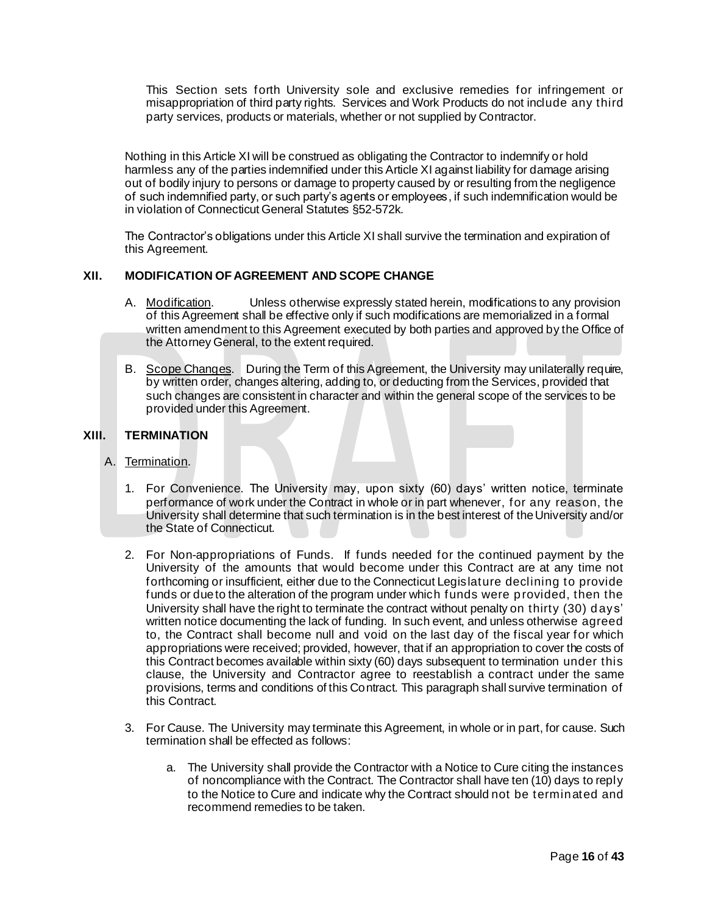This Section sets forth University sole and exclusive remedies for infringement or misappropriation of third party rights. Services and Work Products do not include any third party services, products or materials, whether or not supplied by Contractor.

Nothing in this Article XI will be construed as obligating the Contractor to indemnify or hold harmless any of the parties indemnified under this Article XI against liability for damage arising out of bodily injury to persons or damage to property caused by or resulting from the negligence of such indemnified party, or such party's agents or employees, if such indemnification would be in violation of Connecticut General Statutes §52-572k.

The Contractor's obligations under this Article XI shall survive the termination and expiration of this Agreement.

#### **XII. MODIFICATION OF AGREEMENT AND SCOPE CHANGE**

- A. Modification. Unless otherwise expressly stated herein, modifications to any provision of this Agreement shall be effective only if such modifications are memorialized in a formal written amendment to this Agreement executed by both parties and approved by the Office of the Attorney General, to the extent required.
- B. Scope Changes. During the Term of this Agreement, the University may unilaterally require, by written order, changes altering, adding to, or deducting from the Services, provided that such changes are consistent in character and within the general scope of the services to be provided under this Agreement.

#### **XIII. TERMINATION**

- A. Termination.
	- 1. For Convenience. The University may, upon sixty (60) days' written notice, terminate performance of work under the Contract in whole or in part whenever, for any reason, the University shall determine that such termination is in the best interest of the University and/or the State of Connecticut.
	- 2. For Non-appropriations of Funds. If funds needed for the continued payment by the University of the amounts that would become under this Contract are at any time not forthcoming or insufficient, either due to the Connecticut Legislature declining to provide funds or due to the alteration of the program under which funds were provided, then the University shall have the right to terminate the contract without penalty on thirty (30) days' written notice documenting the lack of funding. In such event, and unless otherwise agreed to, the Contract shall become null and void on the last day of the fiscal year for which appropriations were received; provided, however, that if an appropriation to cover the costs of this Contract becomes available within sixty (60) days subsequent to termination under this clause, the University and Contractor agree to reestablish a contract under the same provisions, terms and conditions of this Contract. This paragraph shall survive termination of this Contract.
	- 3. For Cause. The University may terminate this Agreement, in whole or in part, for cause. Such termination shall be effected as follows:
		- a. The University shall provide the Contractor with a Notice to Cure citing the instances of noncompliance with the Contract. The Contractor shall have ten (10) days to reply to the Notice to Cure and indicate why the Contract should not be terminated and recommend remedies to be taken.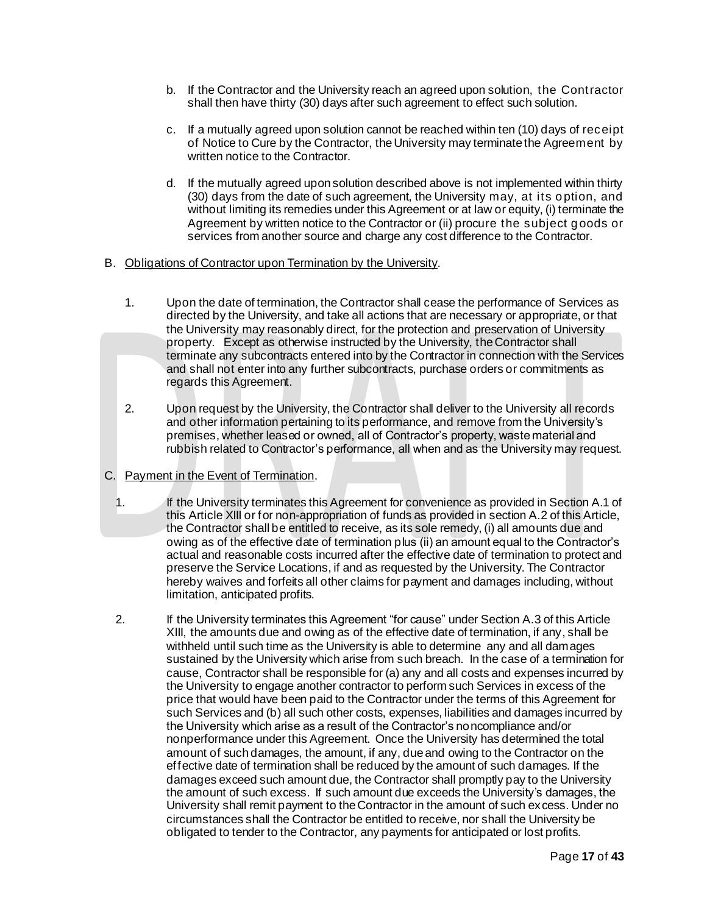- b. If the Contractor and the University reach an agreed upon solution, the Contractor shall then have thirty (30) days after such agreement to effect such solution.
- c. If a mutually agreed upon solution cannot be reached within ten (10) days of receipt of Notice to Cure by the Contractor, the University may terminate the Agreement by written notice to the Contractor.
- d. If the mutually agreed upon solution described above is not implemented within thirty (30) days from the date of such agreement, the University may, at its option, and without limiting its remedies under this Agreement or at law or equity, (i) terminate the Agreement by written notice to the Contractor or (ii) procure the subject goods or services from another source and charge any cost difference to the Contractor.
- B. Obligations of Contractor upon Termination by the University.
	- 1. Upon the date of termination, the Contractor shall cease the performance of Services as directed by the University, and take all actions that are necessary or appropriate, or that the University may reasonably direct, for the protection and preservation of University property. Except as otherwise instructed by the University, the Contractor shall terminate any subcontracts entered into by the Contractor in connection with the Services and shall not enter into any further subcontracts, purchase orders or commitments as regards this Agreement.
	- 2. Upon request by the University, the Contractor shall deliver to the University all records and other information pertaining to its performance, and remove from the University's premises, whether leased or owned, all of Contractor's property, waste material and rubbish related to Contractor's performance, all when and as the University may request.
- C. Payment in the Event of Termination.
- 1. If the University terminates this Agreement for convenience as provided in Section A.1 of this Article XIII or for non-appropriation of funds as provided in section A.2 of this Article, the Contractor shall be entitled to receive, as its sole remedy, (i) all amounts due and owing as of the effective date of termination plus (ii) an amount equal to the Contractor's actual and reasonable costs incurred after the effective date of termination to protect and preserve the Service Locations, if and as requested by the University. The Contractor hereby waives and forfeits all other claims for payment and damages including, without limitation, anticipated profits.
- 2. If the University terminates this Agreement "for cause" under Section A.3 of this Article XIII, the amounts due and owing as of the effective date of termination, if any, shall be withheld until such time as the University is able to determine any and all damages sustained by the University which arise from such breach. In the case of a termination for cause, Contractor shall be responsible for (a) any and all costs and expenses incurred by the University to engage another contractor to perform such Services in excess of the price that would have been paid to the Contractor under the terms of this Agreement for such Services and (b) all such other costs, expenses, liabilities and damages incurred by the University which arise as a result of the Contractor's noncompliance and/or nonperformance under this Agreement. Once the University has determined the total amount of such damages, the amount, if any, due and owing to the Contractor on the effective date of termination shall be reduced by the amount of such damages. If the damages exceed such amount due, the Contractor shall promptly pay to the University the amount of such excess. If such amount due exceeds the University's damages, the University shall remit payment to the Contractor in the amount of such excess. Under no circumstances shall the Contractor be entitled to receive, nor shall the University be obligated to tender to the Contractor, any payments for anticipated or lost profits.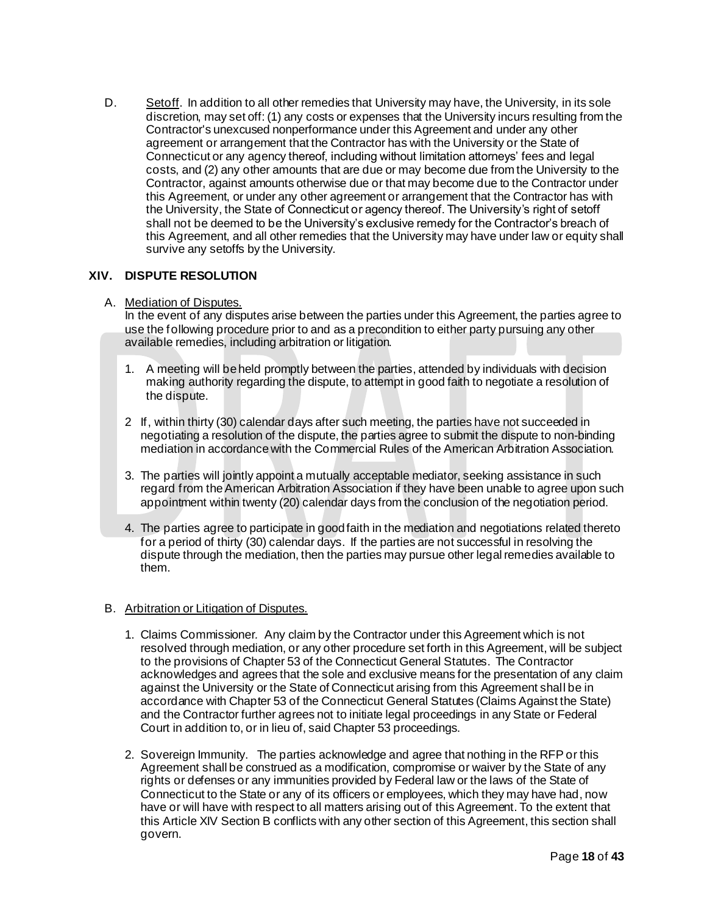D. Setoff. In addition to all other remedies that University may have, the University, in its sole discretion, may set off: (1) any costs or expenses that the University incurs resulting from the Contractor's unexcused nonperformance under this Agreement and under any other agreement or arrangement that the Contractor has with the University or the State of Connecticut or any agency thereof, including without limitation attorneys' fees and legal costs, and (2) any other amounts that are due or may become due from the University to the Contractor, against amounts otherwise due or that may become due to the Contractor under this Agreement, or under any other agreement or arrangement that the Contractor has with the University, the State of Connecticut or agency thereof. The University's right of setoff shall not be deemed to be the University's exclusive remedy for the Contractor's breach of this Agreement, and all other remedies that the University may have under law or equity shall survive any setoffs by the University.

# **XIV. DISPUTE RESOLUTION**

# A. Mediation of Disputes.

In the event of any disputes arise between the parties under this Agreement, the parties agree to use the following procedure prior to and as a precondition to either party pursuing any other available remedies, including arbitration or litigation.

- 1. A meeting will be held promptly between the parties, attended by individuals with decision making authority regarding the dispute, to attempt in good faith to negotiate a resolution of the dispute.
- 2 If, within thirty (30) calendar days after such meeting, the parties have not succeeded in negotiating a resolution of the dispute, the parties agree to submit the dispute to non-binding mediation in accordance with the Commercial Rules of the American Arbitration Association.
- 3. The parties will jointly appoint a mutually acceptable mediator, seeking assistance in such regard from the American Arbitration Association if they have been unable to agree upon such appointment within twenty (20) calendar days from the conclusion of the negotiation period.
- 4. The parties agree to participate in good faith in the mediation and negotiations related thereto for a period of thirty (30) calendar days. If the parties are not successful in resolving the dispute through the mediation, then the parties may pursue other legal remedies available to them.

# B. Arbitration or Litigation of Disputes.

- 1. Claims Commissioner*.* Any claim by the Contractor under this Agreement which is not resolved through mediation, or any other procedure set forth in this Agreement, will be subject to the provisions of Chapter 53 of the Connecticut General Statutes. The Contractor acknowledges and agrees that the sole and exclusive means for the presentation of any claim against the University or the State of Connecticut arising from this Agreement shall be in accordance with Chapter 53 of the Connecticut General Statutes (Claims Against the State) and the Contractor further agrees not to initiate legal proceedings in any State or Federal Court in addition to, or in lieu of, said Chapter 53 proceedings.
- 2. Sovereign Immunity. The parties acknowledge and agree that nothing in the RFP or this Agreement shall be construed as a modification, compromise or waiver by the State of any rights or defenses or any immunities provided by Federal law or the laws of the State of Connecticut to the State or any of its officers or employees, which they may have had, now have or will have with respect to all matters arising out of this Agreement. To the extent that this Article XIV Section B conflicts with any other section of this Agreement, this section shall govern.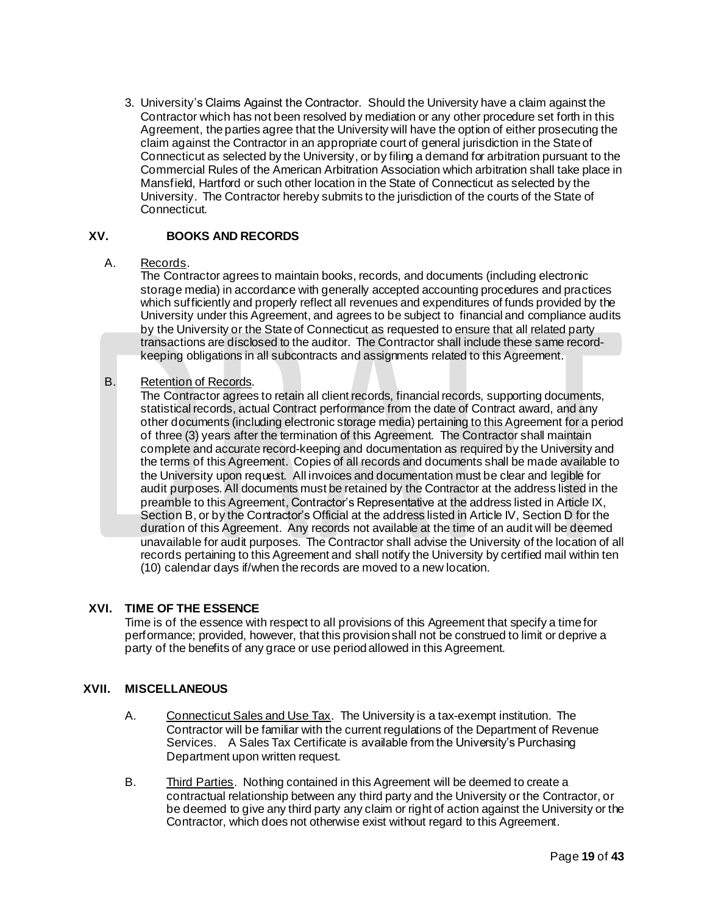3. University's Claims Against the Contractor. Should the University have a claim against the Contractor which has not been resolved by mediation or any other procedure set forth in this Agreement, the parties agree that the University will have the option of either prosecuting the claim against the Contractor in an appropriate court of general jurisdiction in the State of Connecticut as selected by the University, or by filing a demand for arbitration pursuant to the Commercial Rules of the American Arbitration Association which arbitration shall take place in Mansfield, Hartford or such other location in the State of Connecticut as selected by the University. The Contractor hereby submits to the jurisdiction of the courts of the State of Connecticut.

#### **XV. BOOKS AND RECORDS**

#### A. Records.

The Contractor agrees to maintain books, records, and documents (including electronic storage media) in accordance with generally accepted accounting procedures and practices which sufficiently and properly reflect all revenues and expenditures of funds provided by the University under this Agreement, and agrees to be subject to financial and compliance audits by the University or the State of Connecticut as requested to ensure that all related party transactions are disclosed to the auditor. The Contractor shall include these same recordkeeping obligations in all subcontracts and assignments related to this Agreement.

# B. Retention of Records.

The Contractor agrees to retain all client records, financial records, supporting documents, statistical records, actual Contract performance from the date of Contract award, and any other documents (including electronic storage media) pertaining to this Agreement for a period of three (3) years after the termination of this Agreement. The Contractor shall maintain complete and accurate record-keeping and documentation as required by the University and the terms of this Agreement. Copies of all records and documents shall be made available to the University upon request. All invoices and documentation must be clear and legible for audit purposes. All documents must be retained by the Contractor at the address listed in the preamble to this Agreement, Contractor's Representative at the address listed in Article IX, Section B, or by the Contractor's Official at the address listed in Article IV, Section D for the duration of this Agreement. Any records not available at the time of an audit will be deemed unavailable for audit purposes. The Contractor shall advise the University of the location of all records pertaining to this Agreement and shall notify the University by certified mail within ten (10) calendar days if/when the records are moved to a new location.

# **XVI. TIME OF THE ESSENCE**

Time is of the essence with respect to all provisions of this Agreement that specify a time for performance; provided, however, that this provision shall not be construed to limit or deprive a party of the benefits of any grace or use period allowed in this Agreement.

#### **XVII. MISCELLANEOUS**

- A. Connecticut Sales and Use Tax. The University is a tax-exempt institution. The Contractor will be familiar with the current regulations of the Department of Revenue Services. A Sales Tax Certificate is available from the University's Purchasing Department upon written request.
- B. Third Parties. Nothing contained in this Agreement will be deemed to create a contractual relationship between any third party and the University or the Contractor, or be deemed to give any third party any claim or right of action against the University or the Contractor, which does not otherwise exist without regard to this Agreement.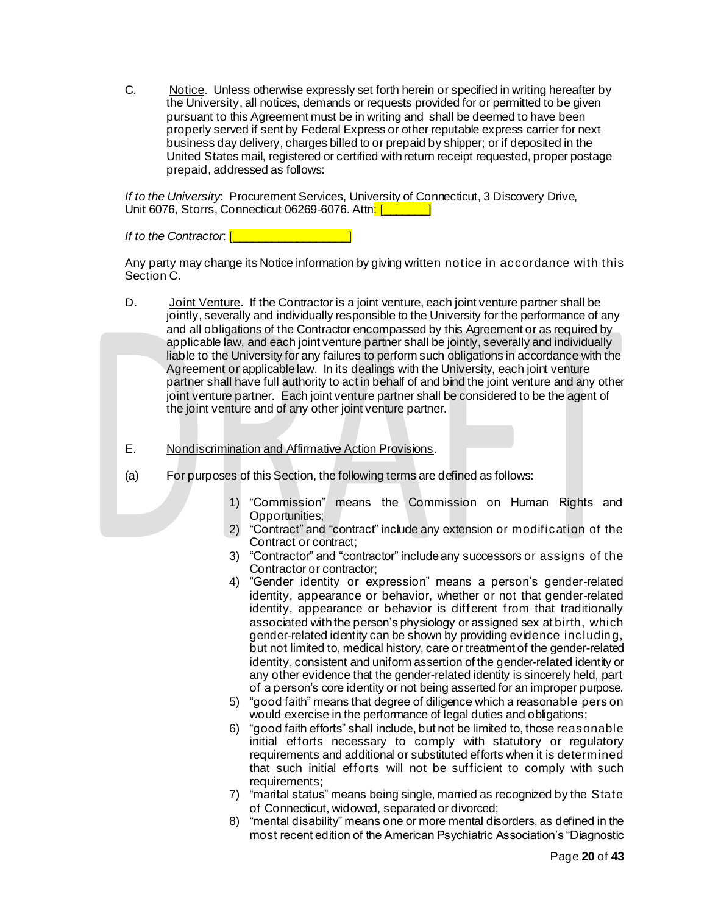C. Notice. Unless otherwise expressly set forth herein or specified in writing hereafter by the University, all notices, demands or requests provided for or permitted to be given pursuant to this Agreement must be in writing and shall be deemed to have been properly served if sent by Federal Express or other reputable express carrier for next business day delivery, charges billed to or prepaid by shipper; or if deposited in the United States mail, registered or certified with return receipt requested, proper postage prepaid, addressed as follows:

*If to the University*: Procurement Services, University of Connecticut, 3 Discovery Drive, Unit 6076, Storrs, Connecticut 06269-6076. Attn: [**winds**]

*If to the Contractor*: [**with all of the Contractor:**  $\begin{bmatrix} 1 & 1 \\ 1 & 1 \end{bmatrix}$ 

Any party may change its Notice information by giving written notice in accordance with this Section C.

- D. Joint Venture. If the Contractor is a joint venture, each joint venture partner shall be jointly, severally and individually responsible to the University for the performance of any and all obligations of the Contractor encompassed by this Agreement or as required by applicable law, and each joint venture partner shall be jointly, severally and individually liable to the University for any failures to perform such obligations in accordance with the Agreement or applicable law. In its dealings with the University, each joint venture partner shall have full authority to act in behalf of and bind the joint venture and any other joint venture partner. Each joint venture partner shall be considered to be the agent of the joint venture and of any other joint venture partner.
- E. Nondiscrimination and Affirmative Action Provisions.
- (a) For purposes of this Section, the following terms are defined as follows:
	- 1) "Commission" means the Commission on Human Rights and Opportunities;
	- 2) "Contract" and "contract" include any extension or modification of the Contract or contract;
	- 3) "Contractor" and "contractor" include any successors or assigns of the Contractor or contractor;
	- 4) "Gender identity or expression" means a person's gender-related identity, appearance or behavior, whether or not that gender-related identity, appearance or behavior is different from that traditionally associated with the person's physiology or assigned sex at birth, which gender-related identity can be shown by providing evidence including, but not limited to, medical history, care or treatment of the gender-related identity, consistent and uniform assertion of the gender-related identity or any other evidence that the gender-related identity is sincerely held, part of a person's core identity or not being asserted for an improper purpose.
	- 5) "good faith" means that degree of diligence which a reasonable pers on would exercise in the performance of legal duties and obligations;
	- 6) "good faith efforts" shall include, but not be limited to, those reasonable initial efforts necessary to comply with statutory or regulatory requirements and additional or substituted efforts when it is determined that such initial efforts will not be sufficient to comply with such requirements;
	- 7) "marital status" means being single, married as recognized by the State of Connecticut, widowed, separated or divorced;
	- 8) "mental disability" means one or more mental disorders, as defined in the most recent edition of the American Psychiatric Association's "Diagnostic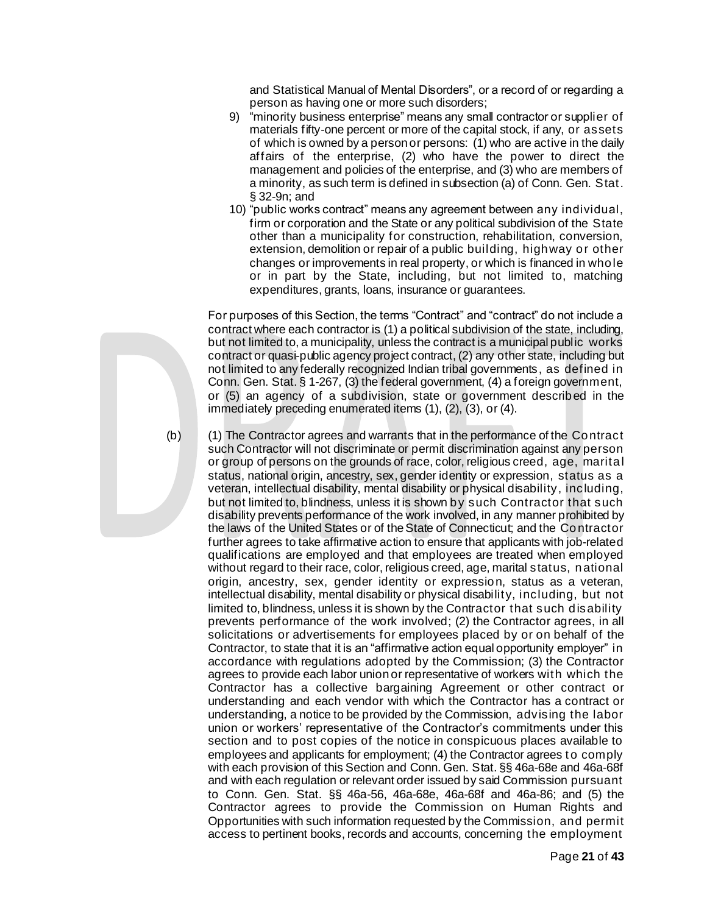and Statistical Manual of Mental Disorders", or a record of or regarding a person as having one or more such disorders;

- 9) "minority business enterprise" means any small contractor or supplier of materials fifty-one percent or more of the capital stock, if any, or assets of which is owned by a person or persons: (1) who are active in the daily affairs of the enterprise, (2) who have the power to direct the management and policies of the enterprise, and (3) who are members of a minority, as such term is defined in subsection (a) of Conn. Gen. Stat. § 32-9n; and
- 10) "public works contract" means any agreement between any individual, firm or corporation and the State or any political subdivision of the State other than a municipality for construction, rehabilitation, conversion, extension, demolition or repair of a public building, highway or other changes or improvements in real property, or which is financed in whole or in part by the State, including, but not limited to, matching expenditures, grants, loans, insurance or guarantees.

For purposes of this Section, the terms "Contract" and "contract" do not include a contract where each contractor is (1) a political subdivision of the state, including, but not limited to, a municipality, unless the contract is a municipal public works contract or quasi-public agency project contract, (2) any other state, including but not limited to any federally recognized Indian tribal governments, as defined in Conn. Gen. Stat. § 1-267, (3) the federal government, (4) a foreign government, or (5) an agency of a subdivision, state or government described in the immediately preceding enumerated items (1), (2), (3), or (4).

(b) (1) The Contractor agrees and warrants that in the performance of the Contract such Contractor will not discriminate or permit discrimination against any person or group of persons on the grounds of race, color, religious creed, age, marital status, national origin, ancestry, sex, gender identity or expression, status as a veteran, intellectual disability, mental disability or physical disability, including, but not limited to, blindness, unless it is shown by such Contractor that such disability prevents performance of the work involved, in any manner prohibited by the laws of the United States or of the State of Connecticut; and the Contractor further agrees to take affirmative action to ensure that applicants with job-related qualifications are employed and that employees are treated when employed without regard to their race, color, religious creed, age, marital status, national origin, ancestry, sex, gender identity or expression, status as a veteran, intellectual disability, mental disability or physical disability, including, but not limited to, blindness, unless it is shown by the Contractor that such disability prevents performance of the work involved; (2) the Contractor agrees, in all solicitations or advertisements for employees placed by or on behalf of the Contractor, to state that it is an "affirmative action equal opportunity employer" in accordance with regulations adopted by the Commission; (3) the Contractor agrees to provide each labor union or representative of workers with which the Contractor has a collective bargaining Agreement or other contract or understanding and each vendor with which the Contractor has a contract or understanding, a notice to be provided by the Commission, advising the labor union or workers' representative of the Contractor's commitments under this section and to post copies of the notice in conspicuous places available to employees and applicants for employment; (4) the Contractor agrees t o comply with each provision of this Section and Conn. Gen. Stat. §§ 46a-68e and 46a-68f and with each regulation or relevant order issued by said Commission pursuant to Conn. Gen. Stat. §§ 46a-56, 46a-68e, 46a-68f and 46a-86; and (5) the Contractor agrees to provide the Commission on Human Rights and Opportunities with such information requested by the Commission, and permit access to pertinent books, records and accounts, concerning the employment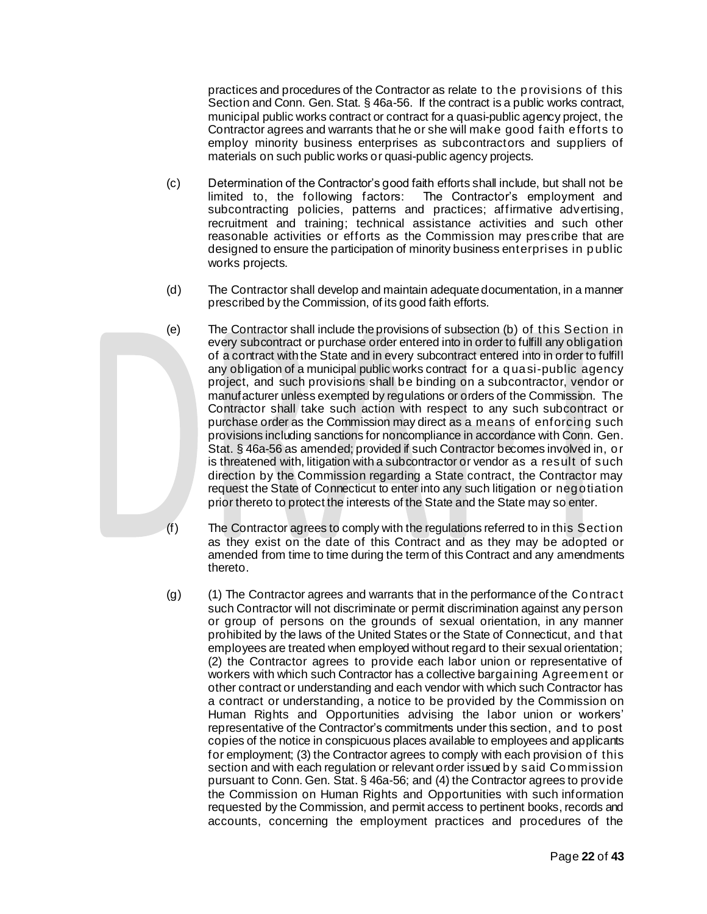practices and procedures of the Contractor as relate to the provisions of this Section and Conn. Gen. Stat. § 46a-56. If the contract is a public works contract, municipal public works contract or contract for a quasi-public agency project, the Contractor agrees and warrants that he or she will make good faith efforts to employ minority business enterprises as subcontractors and suppliers of materials on such public works or quasi-public agency projects.

- (c) Determination of the Contractor's good faith efforts shall include, but shall not be limited to, the following factors: The Contractor's employment and subcontracting policies, patterns and practices; affirmative advertising, recruitment and training; technical assistance activities and such other reasonable activities or efforts as the Commission may prescribe that are designed to ensure the participation of minority business enterprises in public works projects.
- (d) The Contractor shall develop and maintain adequate documentation, in a manner prescribed by the Commission, of its good faith efforts.
- (e) The Contractor shall include the provisions of subsection (b) of this Section in every subcontract or purchase order entered into in order to fulfill any obligation of a contract with the State and in every subcontract entered into in order to fulfill any obligation of a municipal public works contract for a quasi-public agency project, and such provisions shall be binding on a subcontractor, vendor or manufacturer unless exempted by regulations or orders of the Commission. The Contractor shall take such action with respect to any such subcontract or purchase order as the Commission may direct as a means of enforcing such provisions including sanctions for noncompliance in accordance with Conn. Gen. Stat. § 46a-56 as amended; provided if such Contractor becomes involved in, or is threatened with, litigation with a subcontractor or vendor as a result of such direction by the Commission regarding a State contract, the Contractor may request the State of Connecticut to enter into any such litigation or negotiation prior thereto to protect the interests of the State and the State may so enter.
- (f) The Contractor agrees to comply with the regulations referred to in this Section as they exist on the date of this Contract and as they may be adopted or amended from time to time during the term of this Contract and any amendments thereto.
- (g) (1) The Contractor agrees and warrants that in the performance of the Contract such Contractor will not discriminate or permit discrimination against any person or group of persons on the grounds of sexual orientation, in any manner prohibited by the laws of the United States or the State of Connecticut, and that employees are treated when employed without regard to their sexual orientation; (2) the Contractor agrees to provide each labor union or representative of workers with which such Contractor has a collective bargaining Agreement or other contract or understanding and each vendor with which such Contractor has a contract or understanding, a notice to be provided by the Commission on Human Rights and Opportunities advising the labor union or workers' representative of the Contractor's commitments under this section, and to post copies of the notice in conspicuous places available to employees and applicants for employment; (3) the Contractor agrees to comply with each provision of this section and with each regulation or relevant order issued by said Commission pursuant to Conn. Gen. Stat. § 46a-56; and (4) the Contractor agrees to provide the Commission on Human Rights and Opportunities with such information requested by the Commission, and permit access to pertinent books, records and accounts, concerning the employment practices and procedures of the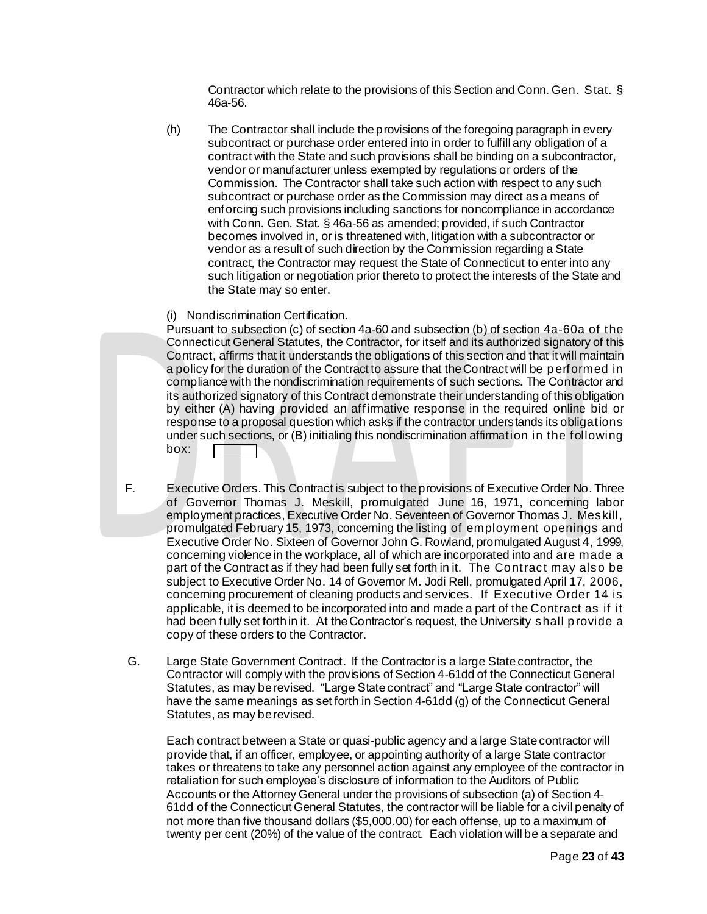Contractor which relate to the provisions of this Section and Conn. Gen. Stat. § 46a-56.

- (h) The Contractor shall include the provisions of the foregoing paragraph in every subcontract or purchase order entered into in order to fulfill any obligation of a contract with the State and such provisions shall be binding on a subcontractor, vendor or manufacturer unless exempted by regulations or orders of the Commission. The Contractor shall take such action with respect to any such subcontract or purchase order as the Commission may direct as a means of enforcing such provisions including sanctions for noncompliance in accordance with Conn. Gen. Stat. § 46a-56 as amended; provided, if such Contractor becomes involved in, or is threatened with, litigation with a subcontractor or vendor as a result of such direction by the Commission regarding a State contract, the Contractor may request the State of Connecticut to enter into any such litigation or negotiation prior thereto to protect the interests of the State and the State may so enter.
- (i) Nondiscrimination Certification.

Pursuant to subsection (c) of section 4a-60 and subsection (b) of section 4a-60a of the Connecticut General Statutes, the Contractor, for itself and its authorized signatory of this Contract, affirms that it understands the obligations of this section and that it will maintain a policy for the duration of the Contract to assure that the Contract will be performed in compliance with the nondiscrimination requirements of such sections. The Contractor and its authorized signatory of this Contract demonstrate their understanding of this obligation by either (A) having provided an affirmative response in the required online bid or response to a proposal question which asks if the contractor understands its obligations under such sections, or (B) initialing this nondiscrimination affirmation in the following box:

- F. Executive Orders. This Contract is subject to the provisions of Executive Order No. Three of Governor Thomas J. Meskill, promulgated June 16, 1971, concerning labor employment practices, Executive Order No. Seventeen of Governor Thomas J. Meskill, promulgated February 15, 1973, concerning the listing of employment openings and Executive Order No. Sixteen of Governor John G. Rowland, promulgated August 4, 1999, concerning violence in the workplace, all of which are incorporated into and are made a part of the Contract as if they had been fully set forth in it. The Contract may also be subject to Executive Order No. 14 of Governor M. Jodi Rell, promulgated April 17, 2006, concerning procurement of cleaning products and services. If Executive Order 14 is applicable, it is deemed to be incorporated into and made a part of the Contract as if it had been fully set forth in it. At the Contractor's request, the University shall provide a copy of these orders to the Contractor.
- G. Large State Government Contract. If the Contractor is a large State contractor, the Contractor will comply with the provisions of Section 4-61dd of the Connecticut General Statutes, as may be revised. "Large State contract" and "Large State contractor" will have the same meanings as set forth in Section 4-61dd (g) of the Connecticut General Statutes, as may be revised.

Each contract between a State or quasi-public agency and a large State contractor will provide that, if an officer, employee, or appointing authority of a large State contractor takes or threatens to take any personnel action against any employee of the contractor in retaliation for such employee's disclosure of information to the Auditors of Public Accounts or the Attorney General under the provisions of subsection (a) of Section 4- 61dd of the Connecticut General Statutes, the contractor will be liable for a civil penalty of not more than five thousand dollars (\$5,000.00) for each offense, up to a maximum of twenty per cent (20%) of the value of the contract. Each violation will be a separate and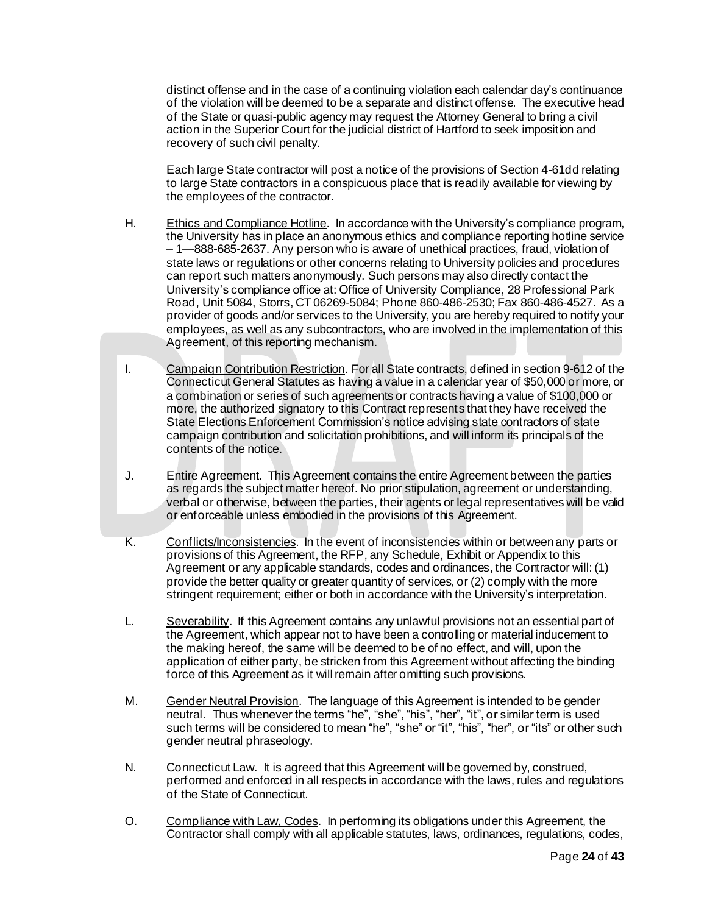distinct offense and in the case of a continuing violation each calendar day's continuance of the violation will be deemed to be a separate and distinct offense. The executive head of the State or quasi-public agency may request the Attorney General to bring a civil action in the Superior Court for the judicial district of Hartford to seek imposition and recovery of such civil penalty.

Each large State contractor will post a notice of the provisions of Section 4-61dd relating to large State contractors in a conspicuous place that is readily available for viewing by the employees of the contractor.

- H. Ethics and Compliance Hotline. In accordance with the University's compliance program, the University has in place an anonymous ethics and compliance reporting hotline service – 1—888-685-2637. Any person who is aware of unethical practices, fraud, violation of state laws or regulations or other concerns relating to University policies and procedures can report such matters anonymously. Such persons may also directly contact the University's compliance office at: Office of University Compliance, 28 Professional Park Road, Unit 5084, Storrs, CT 06269-5084; Phone 860-486-2530; Fax 860-486-4527. As a provider of goods and/or services to the University, you are hereby required to notify your employees, as well as any subcontractors, who are involved in the implementation of this Agreement, of this reporting mechanism.
- I. Campaign Contribution Restriction. For all State contracts, defined in section 9-612 of the Connecticut General Statutes as having a value in a calendar year of \$50,000 or more, or a combination or series of such agreements or contracts having a value of \$100,000 or more, the authorized signatory to this Contract represents that they have received the State Elections Enforcement Commission's notice advising state contractors of state campaign contribution and solicitation prohibitions, and will inform its principals of the contents of the notice.
- J. Entire Agreement. This Agreement contains the entire Agreement between the parties as regards the subject matter hereof. No prior stipulation, agreement or understanding, verbal or otherwise, between the parties, their agents or legal representatives will be valid or enforceable unless embodied in the provisions of this Agreement.
- K. Conflicts/Inconsistencies. In the event of inconsistencies within or between any parts or provisions of this Agreement, the RFP, any Schedule, Exhibit or Appendix to this Agreement or any applicable standards, codes and ordinances, the Contractor will: (1) provide the better quality or greater quantity of services, or (2) comply with the more stringent requirement; either or both in accordance with the University's interpretation.
- L. Severability. If this Agreement contains any unlawful provisions not an essential part of the Agreement, which appear not to have been a controlling or material inducement to the making hereof, the same will be deemed to be of no effect, and will, upon the application of either party, be stricken from this Agreement without affecting the binding force of this Agreement as it will remain after omitting such provisions.
- M. Gender Neutral Provision. The language of this Agreement is intended to be gender neutral. Thus whenever the terms "he", "she", "his", "her", "it", or similar term is used such terms will be considered to mean "he", "she" or "it", "his", "her", or "its" or other such gender neutral phraseology.
- N. Connecticut Law. It is agreed that this Agreement will be governed by, construed, performed and enforced in all respects in accordance with the laws, rules and regulations of the State of Connecticut.
- O. Compliance with Law, Codes. In performing its obligations under this Agreement, the Contractor shall comply with all applicable statutes, laws, ordinances, regulations, codes,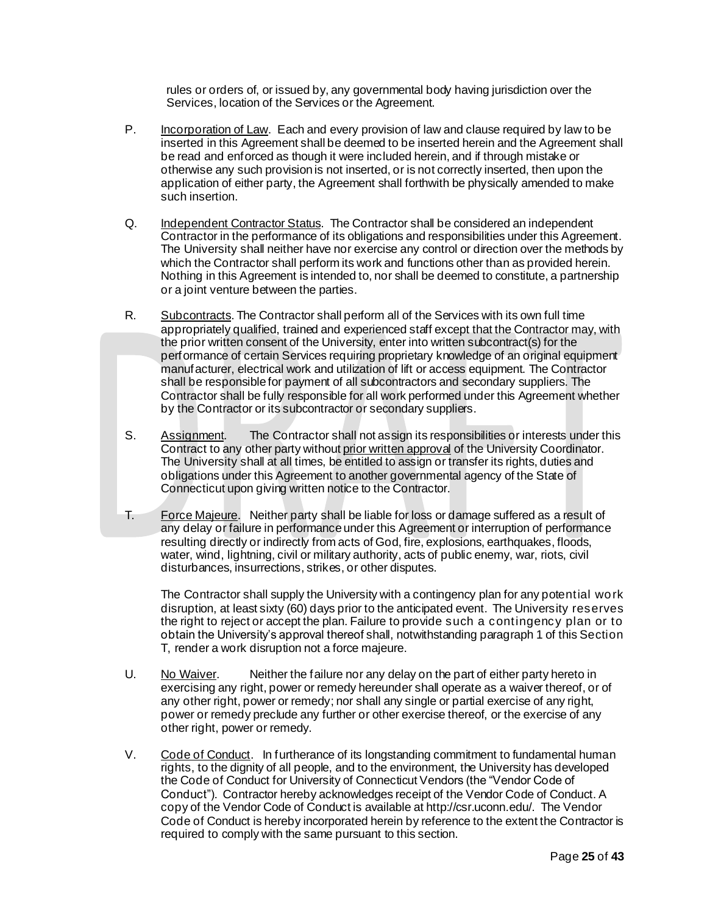rules or orders of, or issued by, any governmental body having jurisdiction over the Services, location of the Services or the Agreement.

- P. Incorporation of Law. Each and every provision of law and clause required by law to be inserted in this Agreement shall be deemed to be inserted herein and the Agreement shall be read and enforced as though it were included herein, and if through mistake or otherwise any such provision is not inserted, or is not correctly inserted, then upon the application of either party, the Agreement shall forthwith be physically amended to make such insertion.
- Q. Independent Contractor Status. The Contractor shall be considered an independent Contractor in the performance of its obligations and responsibilities under this Agreement. The University shall neither have nor exercise any control or direction over the methods by which the Contractor shall perform its work and functions other than as provided herein. Nothing in this Agreement is intended to, nor shall be deemed to constitute, a partnership or a joint venture between the parties.
- R. Subcontracts. The Contractor shall perform all of the Services with its own full time appropriately qualified, trained and experienced staff except that the Contractor may, with the prior written consent of the University, enter into written subcontract(s) for the performance of certain Services requiring proprietary knowledge of an original equipment manufacturer, electrical work and utilization of lift or access equipment. The Contractor shall be responsible for payment of all subcontractors and secondary suppliers. The Contractor shall be fully responsible for all work performed under this Agreement whether by the Contractor or its subcontractor or secondary suppliers.
- S. Assignment. The Contractor shall not assign its responsibilities or interests under this Contract to any other party without prior written approval of the University Coordinator. The University shall at all times, be entitled to assign or transfer its rights, duties and obligations under this Agreement to another governmental agency of the State of Connecticut upon giving written notice to the Contractor.
- T. Force Majeure. Neither party shall be liable for loss or damage suffered as a result of any delay or failure in performance under this Agreement or interruption of performance resulting directly or indirectly from acts of God, fire, explosions, earthquakes, floods, water, wind, lightning, civil or military authority, acts of public enemy, war, riots, civil disturbances, insurrections, strikes, or other disputes.

The Contractor shall supply the University with a contingency plan for any potential work disruption, at least sixty (60) days prior to the anticipated event. The University reserves the right to reject or accept the plan. Failure to provide such a contingency plan or to obtain the University's approval thereof shall, notwithstanding paragraph 1 of this Section T, render a work disruption not a force majeure.

- U. No Waiver. Neither the failure nor any delay on the part of either party hereto in exercising any right, power or remedy hereunder shall operate as a waiver thereof, or of any other right, power or remedy; nor shall any single or partial exercise of any right, power or remedy preclude any further or other exercise thereof, or the exercise of any other right, power or remedy.
- V. Code of Conduct. In furtherance of its longstanding commitment to fundamental human rights, to the dignity of all people, and to the environment, the University has developed the Code of Conduct for University of Connecticut Vendors (the "Vendor Code of Conduct"). Contractor hereby acknowledges receipt of the Vendor Code of Conduct. A copy of the Vendor Code of Conduct is available a[t http://csr.uconn.edu/](http://csr.uconn.edu/). The Vendor Code of Conduct is hereby incorporated herein by reference to the extent the Contractor is required to comply with the same pursuant to this section.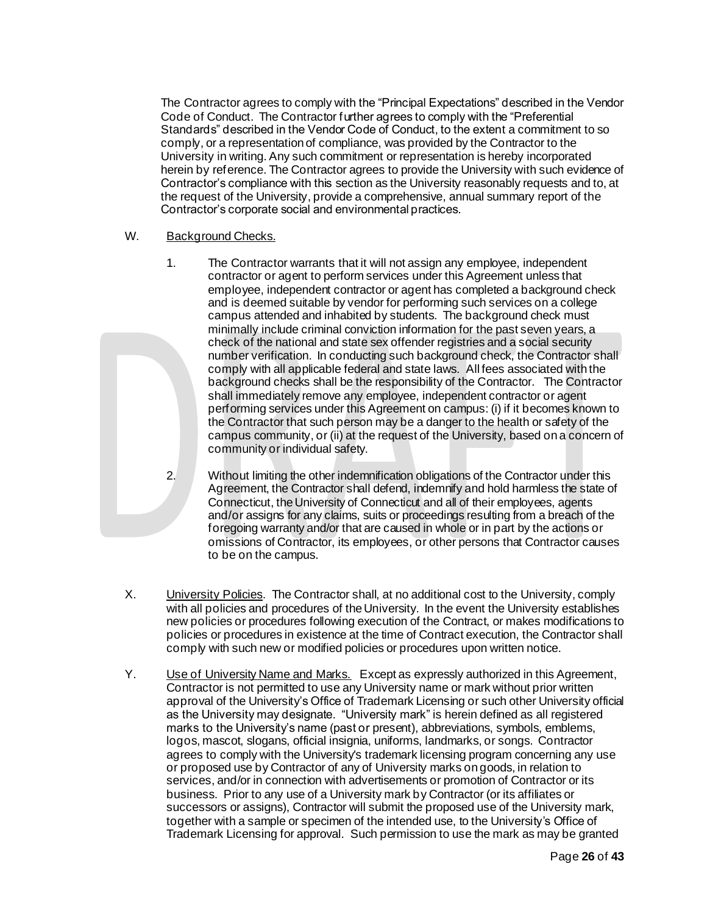The Contractor agrees to comply with the "Principal Expectations" described in the Vendor Code of Conduct. The Contractor further agrees to comply with the "Preferential Standards" described in the Vendor Code of Conduct, to the extent a commitment to so comply, or a representation of compliance, was provided by the Contractor to the University in writing. Any such commitment or representation is hereby incorporated herein by reference. The Contractor agrees to provide the University with such evidence of Contractor's compliance with this section as the University reasonably requests and to, at the request of the University, provide a comprehensive, annual summary report of the Contractor's corporate social and environmental practices.

#### W. Background Checks.

1. The Contractor warrants that it will not assign any employee, independent contractor or agent to perform services under this Agreement unless that employee, independent contractor or agent has completed a background check and is deemed suitable by vendor for performing such services on a college campus attended and inhabited by students. The background check must minimally include criminal conviction information for the past seven years, a check of the national and state sex offender registries and a social security number verification. In conducting such background check, the Contractor shall comply with all applicable federal and state laws. All fees associated with the background checks shall be the responsibility of the Contractor. The Contractor shall immediately remove any employee, independent contractor or agent performing services under this Agreement on campus: (i) if it becomes known to the Contractor that such person may be a danger to the health or safety of the campus community, or (ii) at the request of the University, based on a concern of community or individual safety.

2. Without limiting the other indemnification obligations of the Contractor under this Agreement, the Contractor shall defend, indemnify and hold harmless the state of Connecticut, the University of Connecticut and all of their employees, agents and/or assigns for any claims, suits or proceedings resulting from a breach of the foregoing warranty and/or that are caused in whole or in part by the actions or omissions of Contractor, its employees, or other persons that Contractor causes to be on the campus.

- X. **University Policies.** The Contractor shall, at no additional cost to the University, comply with all policies and procedures of the University. In the event the University establishes new policies or procedures following execution of the Contract, or makes modifications to policies or procedures in existence at the time of Contract execution, the Contractor shall comply with such new or modified policies or procedures upon written notice.
- Y. Use of University Name and Marks.Except as expressly authorized in this Agreement, Contractor is not permitted to use any University name or mark without prior written approval of the University's Office of Trademark Licensing or such other University official as the University may designate. "University mark" is herein defined as all registered marks to the University's name (past or present), abbreviations, symbols, emblems, logos, mascot, slogans, official insignia, uniforms, landmarks, or songs. Contractor agrees to comply with the University's trademark licensing program concerning any use or proposed use by Contractor of any of University marks on goods, in relation to services, and/or in connection with advertisements or promotion of Contractor or its business. Prior to any use of a University mark by Contractor (or its affiliates or successors or assigns), Contractor will submit the proposed use of the University mark, together with a sample or specimen of the intended use, to the University's Office of Trademark Licensing for approval. Such permission to use the mark as may be granted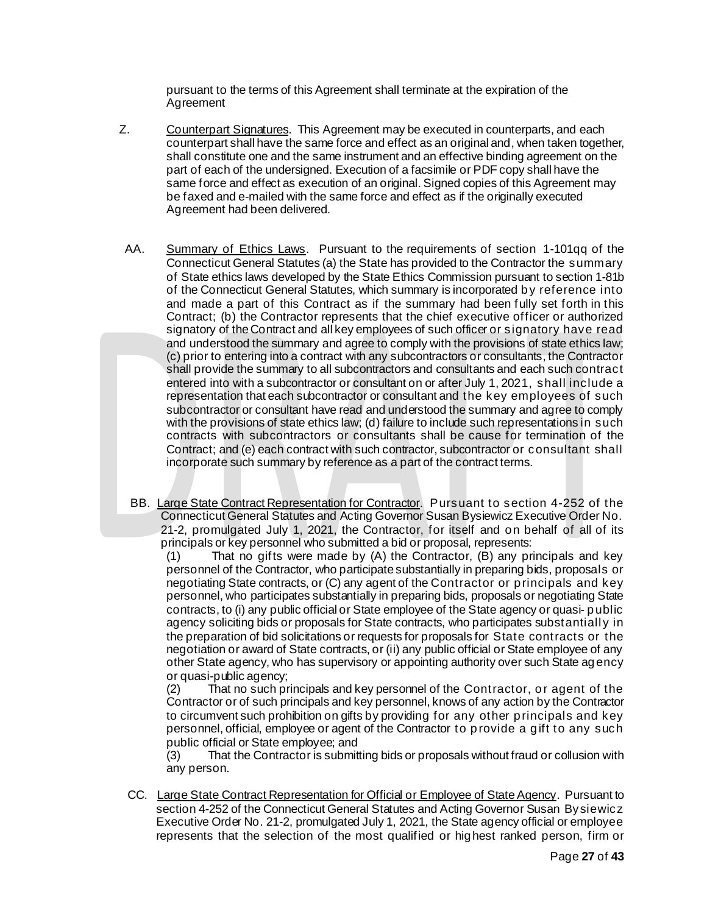pursuant to the terms of this Agreement shall terminate at the expiration of the Agreement

- Z. Counterpart Signatures. This Agreement may be executed in counterparts, and each counterpart shall have the same force and effect as an original and, when taken together, shall constitute one and the same instrument and an effective binding agreement on the part of each of the undersigned. Execution of a facsimile or PDF copy shall have the same force and effect as execution of an original. Signed copies of this Agreement may be faxed and e-mailed with the same force and effect as if the originally executed Agreement had been delivered.
- AA. Summary of Ethics Laws. Pursuant to the requirements of section 1-101qq of the Connecticut General Statutes (a) the State has provided to the Contractor the summary of State ethics laws developed by the State Ethics Commission pursuant to section 1-81b of the Connecticut General Statutes, which summary is incorporated by reference into and made a part of this Contract as if the summary had been fully set forth in this Contract; (b) the Contractor represents that the chief executive officer or authorized signatory of the Contract and all key employees of such officer or signatory have read and understood the summary and agree to comply with the provisions of state ethics law; (c) prior to entering into a contract with any subcontractors or consultants, the Contractor shall provide the summary to all subcontractors and consultants and each such contract entered into with a subcontractor or consultant on or after July 1, 2021, shall include a representation that each subcontractor or consultant and the key employees of such subcontractor or consultant have read and understood the summary and agree to comply with the provisions of state ethics law; (d) failure to include such representations in such contracts with subcontractors or consultants shall be cause for termination of the Contract; and (e) each contract with such contractor, subcontractor or consultant shall incorporate such summary by reference as a part of the contract terms.
- BB. Large State Contract Representation for Contractor. Pursuant to section 4-252 of the Connecticut General Statutes and Acting Governor Susan Bysiewicz Executive Order No. 21-2, promulgated July 1, 2021, the Contractor, for itself and on behalf of all of its principals or key personnel who submitted a bid or proposal, represents:

(1) That no gifts were made by (A) the Contractor, (B) any principals and key personnel of the Contractor, who participate substantially in preparing bids, proposals or negotiating State contracts, or (C) any agent of the Contractor or principals and key personnel, who participates substantially in preparing bids, proposals or negotiating State contracts, to (i) any public official or State employee of the State agency or quasi- public agency soliciting bids or proposals for State contracts, who participates substantiall y in the preparation of bid solicitations or requests for proposals for State contracts or the negotiation or award of State contracts, or (ii) any public official or State employee of any other State agency, who has supervisory or appointing authority over such State agency or quasi-public agency;

(2) That no such principals and key personnel of the Contractor, or agent of the Contractor or of such principals and key personnel, knows of any action by the Contractor to circumvent such prohibition on gifts by providing for any other principals and key personnel, official, employee or agent of the Contractor to provide a gift to any such public official or State employee; and

(3) That the Contractor is submitting bids or proposals without fraud or collusion with any person.

CC. Large State Contract Representation for Official or Employee of State Agency. Pursuant to section 4-252 of the Connecticut General Statutes and Acting Governor Susan Bysiewicz Executive Order No. 21-2, promulgated July 1, 2021, the State agency official or employee represents that the selection of the most qualified or highest ranked person, firm or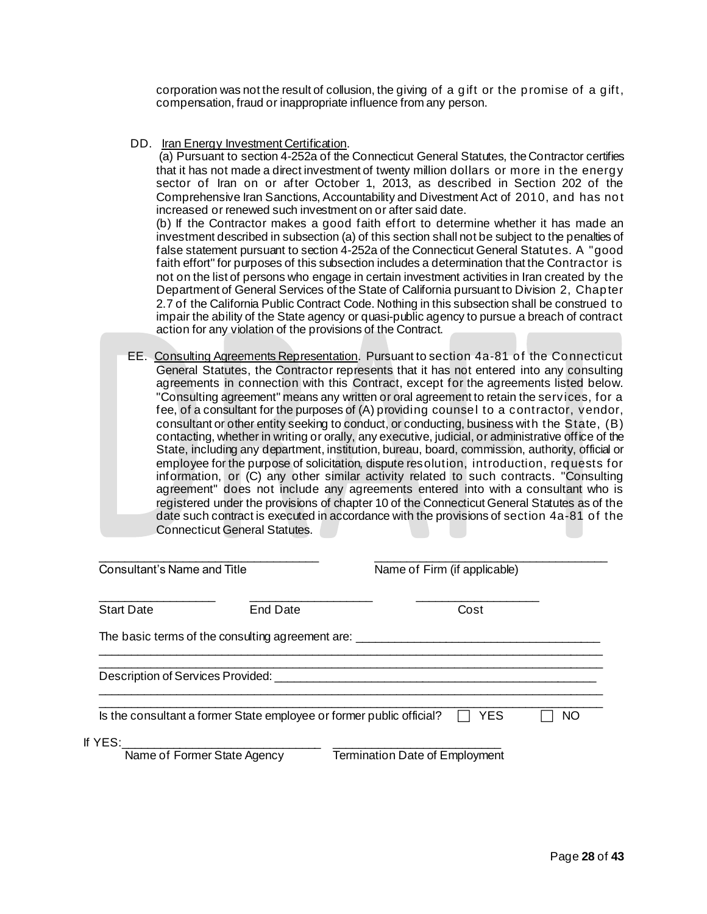corporation was not the result of collusion, the giving of a gift or the promise of a gift, compensation, fraud or inappropriate influence from any person.

#### DD. Iran Energy Investment Certification.

(a) Pursuant to section 4-252a of the Connecticut General Statutes, the Contractor certifies that it has not made a direct investment of twenty million dollars or more in the energy sector of Iran on or after October 1, 2013, as described in Section 202 of the Comprehensive Iran Sanctions, Accountability and Divestment Act of 2010, and has not increased or renewed such investment on or after said date.

(b) If the Contractor makes a good faith effort to determine whether it has made an investment described in subsection (a) of this section shall not be subject to the penalties of false statement pursuant to section 4-252a of the Connecticut General Statutes. A "good faith effort" for purposes of this subsection includes a determination that the Contractor is not on the list of persons who engage in certain investment activities in Iran created by the Department of General Services of the State of California pursuant to Division 2, Chapter 2.7 of the California Public Contract Code. Nothing in this subsection shall be construed to impair the ability of the State agency or quasi-public agency to pursue a breach of contract action for any violation of the provisions of the Contract.

EE. Consulting Agreements Representation. Pursuant to section 4a-81 of the Connecticut General Statutes, the Contractor represents that it has not entered into any consulting agreements in connection with this Contract, except for the agreements listed below. "Consulting agreement" means any written or oral agreement to retain the services, for a fee, of a consultant for the purposes of (A) providing counsel to a contractor, vendor, consultant or other entity seeking to conduct, or conducting, business with the State, (B) contacting, whether in writing or orally, any executive, judicial, or administrative office of the State, including any department, institution, bureau, board, commission, authority, official or employee for the purpose of solicitation, dispute resolution, introduction, requests for information, or (C) any other similar activity related to such contracts. "Consulting agreement" does not include any agreements entered into with a consultant who is registered under the provisions of chapter 10 of the Connecticut General Statutes as of the date such contract is executed in accordance with the provisions of section 4a-81 of the Connecticut General Statutes.

| Consultant's Name and Title       |                                                  |                                                                                                                          | Name of Firm (if applicable) |     |
|-----------------------------------|--------------------------------------------------|--------------------------------------------------------------------------------------------------------------------------|------------------------------|-----|
| <b>Start Date</b>                 | End Date                                         |                                                                                                                          | Cost                         |     |
|                                   | The basic terms of the consulting agreement are: |                                                                                                                          |                              |     |
| Description of Services Provided: |                                                  | <u>a sa barang sa mga barang sa mga barang sa mga barang sa mga barang sa mga barang sa mga barang sa mga barang sa </u> |                              |     |
|                                   |                                                  | Is the consultant a former State employee or former public official?                                                     | YES                          | NO. |
| lf YES:                           | Name of Former State Agency                      | <b>Termination Date of Employment</b>                                                                                    |                              |     |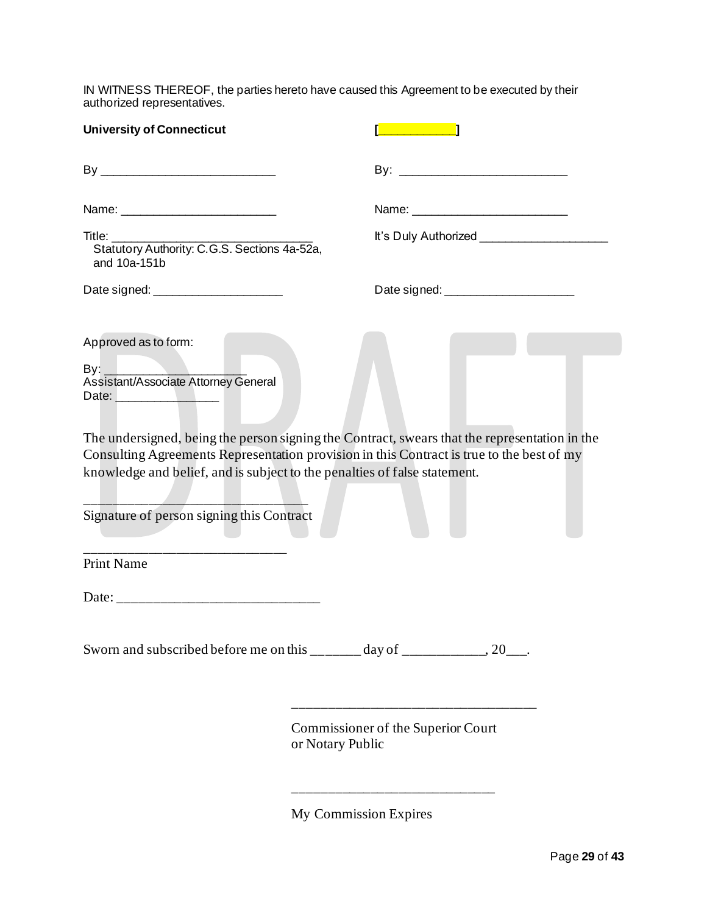IN WITNESS THEREOF, the parties hereto have caused this Agreement to be executed by their authorized representatives.

| <b>University of Connecticut</b>                                                                                                                                                             | and the state of the state of the state of the state of the state of the state of the state of the state of th |
|----------------------------------------------------------------------------------------------------------------------------------------------------------------------------------------------|----------------------------------------------------------------------------------------------------------------|
|                                                                                                                                                                                              |                                                                                                                |
|                                                                                                                                                                                              |                                                                                                                |
| Title:<br>Statutory Authority: C.G.S. Sections 4a-52a,<br>and 10a-151b                                                                                                                       | It's Duly Authorized <b>Manual</b>                                                                             |
|                                                                                                                                                                                              |                                                                                                                |
| Approved as to form:                                                                                                                                                                         |                                                                                                                |
| Date: <u>Date:</u><br>Consulting Agreements Representation provision in this Contract is true to the best of my<br>knowledge and belief, and is subject to the penalties of false statement. | The undersigned, being the person signing the Contract, swears that the representation in the                  |
| Signature of person signing this Contract                                                                                                                                                    |                                                                                                                |
| <b>Print Name</b>                                                                                                                                                                            |                                                                                                                |
|                                                                                                                                                                                              |                                                                                                                |
| Sworn and subscribed before me on this $\frac{1}{2}$ day of $\frac{1}{2}$ , 20                                                                                                               |                                                                                                                |
|                                                                                                                                                                                              | Commissioner of the Superior Court<br>or Notary Public                                                         |

My Commission Expires

\_\_\_\_\_\_\_\_\_\_\_\_\_\_\_\_\_\_\_\_\_\_\_\_\_\_\_\_\_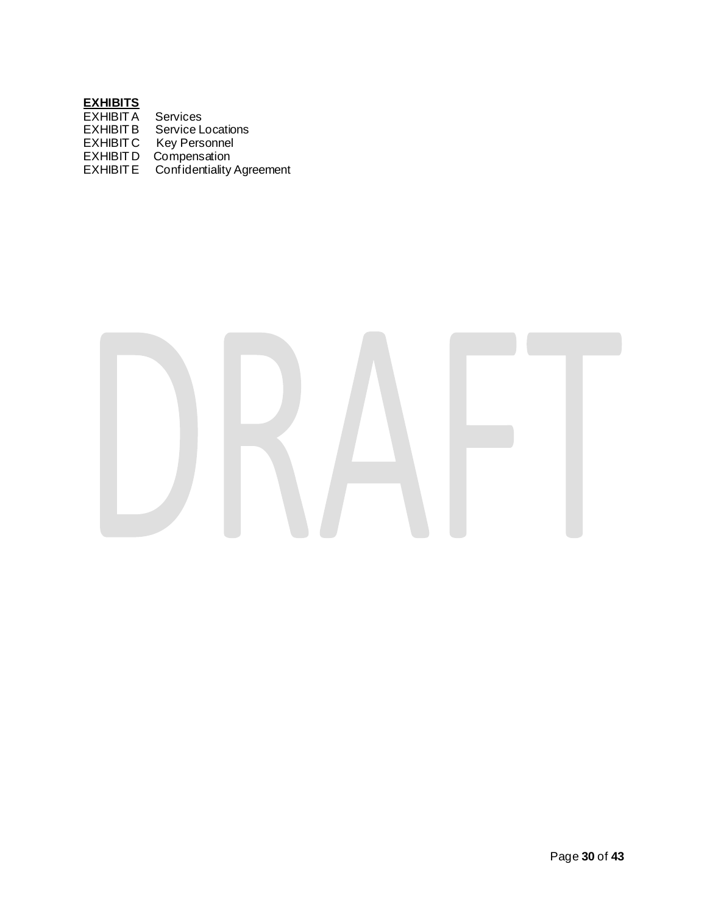# **EXHIBITS**

| <b>EXHIBIT A</b> | Services                         |
|------------------|----------------------------------|
| <b>EXHIBIT B</b> | <b>Service Locations</b>         |
| <b>EXHIBITC</b>  | <b>Key Personnel</b>             |
| <b>EXHIBITD</b>  | Compensation                     |
| <b>EXHIBITE</b>  | <b>Confidentiality Agreement</b> |
|                  |                                  |

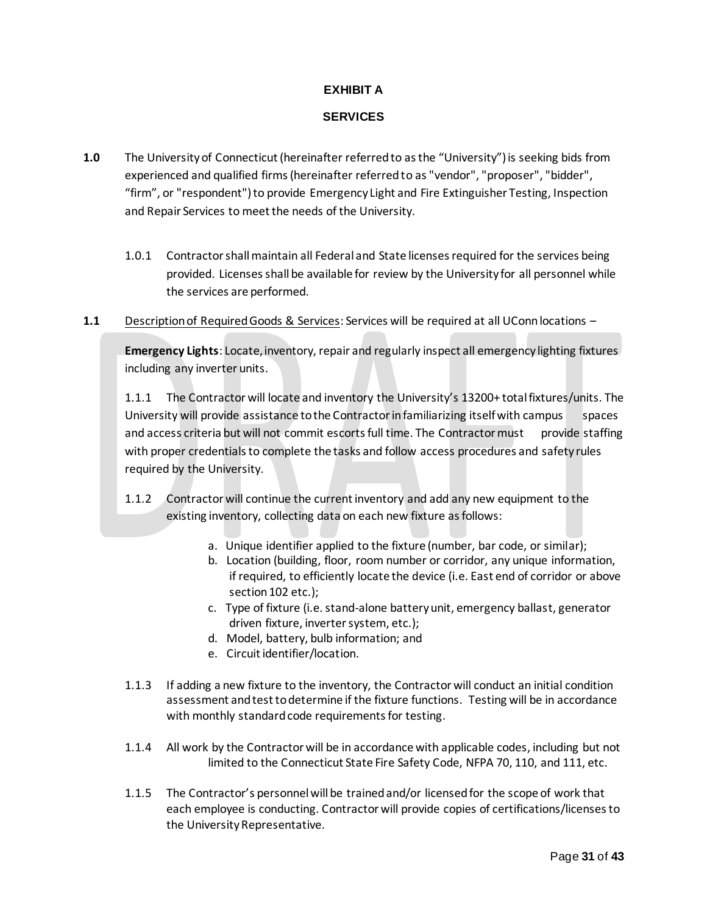# **EXHIBIT A**

# **SERVICES**

- **1.0** The University of Connecticut (hereinafter referred to as the "University") is seeking bids from experienced and qualified firms (hereinafter referred to as "vendor", "proposer", "bidder", "firm", or "respondent") to provide Emergency Light and Fire Extinguisher Testing, Inspection and Repair Services to meet the needs of the University.
	- 1.0.1 Contractor shall maintain all Federal and State licenses required for the services being provided. Licenses shall be available for review by the University for all personnel while the services are performed.
- 1.1 Description of Required Goods & Services: Services will be required at all UConn locations -

**Emergency Lights**: Locate, inventory, repair and regularly inspect all emergency lighting fixtures including any inverter units.

1.1.1 The Contractor will locate and inventory the University's 13200+ total fixtures/units. The University will provide assistance to the Contractor in familiarizing itself with campus spaces and access criteria but will not commit escorts full time. The Contractor must provide staffing with proper credentials to complete the tasks and follow access procedures and safety rules required by the University.

- 1.1.2 Contractor will continue the current inventory and add any new equipment to the existing inventory, collecting data on each new fixture as follows:
	- a. Unique identifier applied to the fixture (number, bar code, or similar);
	- b. Location (building, floor, room number or corridor, any unique information, if required, to efficiently locate the device (i.e. East end of corridor or above section 102 etc.);
	- c. Type of fixture (i.e. stand-alone battery unit, emergency ballast, generator driven fixture, inverter system, etc.);
	- d. Model, battery, bulb information; and
	- e. Circuit identifier/location.
- 1.1.3 If adding a new fixture to the inventory, the Contractor will conduct an initial condition assessment and test to determine if the fixture functions. Testing will be in accordance with monthly standard code requirements for testing.
- 1.1.4 All work by the Contractor will be in accordance with applicable codes, including but not limited to the Connecticut State Fire Safety Code, NFPA 70, 110, and 111, etc.
- 1.1.5 The Contractor's personnel will be trained and/or licensed for the scope of work that each employee is conducting. Contractor will provide copies of certifications/licenses to the University Representative.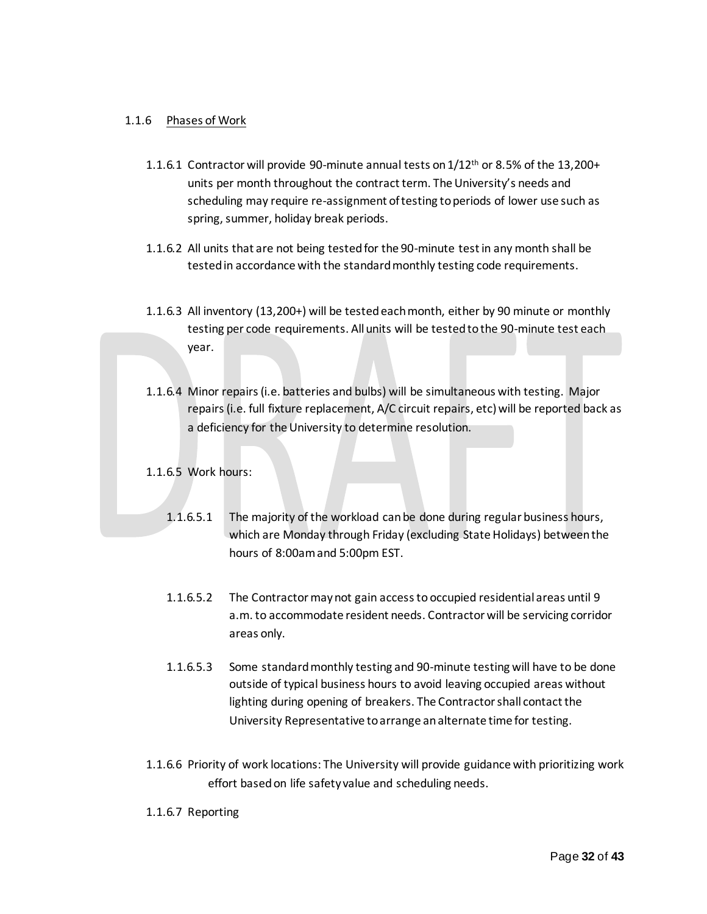# 1.1.6 Phases of Work

- 1.1.6.1 Contractor will provide 90-minute annual tests on  $1/12<sup>th</sup>$  or 8.5% of the 13,200+ units per month throughout the contract term. The University's needs and scheduling may require re-assignment of testing to periods of lower use such as spring, summer, holiday break periods.
- 1.1.6.2 All units that are not being tested for the 90-minute test in any month shall be tested in accordance with the standard monthly testing code requirements.
- 1.1.6.3 All inventory (13,200+) will be tested each month, either by 90 minute or monthly testing per code requirements. All units will be tested to the 90-minute test each year.
- 1.1.6.4 Minor repairs (i.e. batteries and bulbs) will be simultaneous with testing. Major repairs (i.e. full fixture replacement, A/C circuit repairs, etc) will be reported back as a deficiency for the University to determine resolution.
- 1.1.6.5 Work hours:
	- 1.1.6.5.1 The majority of the workload can be done during regular business hours, which are Monday through Friday (excluding State Holidays) between the hours of 8:00am and 5:00pm EST.
	- 1.1.6.5.2 The Contractor may not gain access to occupied residential areas until 9 a.m. to accommodate resident needs. Contractor will be servicing corridor areas only.
	- 1.1.6.5.3 Some standard monthly testing and 90-minute testing will have to be done outside of typical business hours to avoid leaving occupied areas without lighting during opening of breakers. The Contractor shall contact the University Representative to arrange an alternate time for testing.
- 1.1.6.6 Priority of work locations: The University will provide guidance with prioritizing work effort based on life safety value and scheduling needs.
- 1.1.6.7 Reporting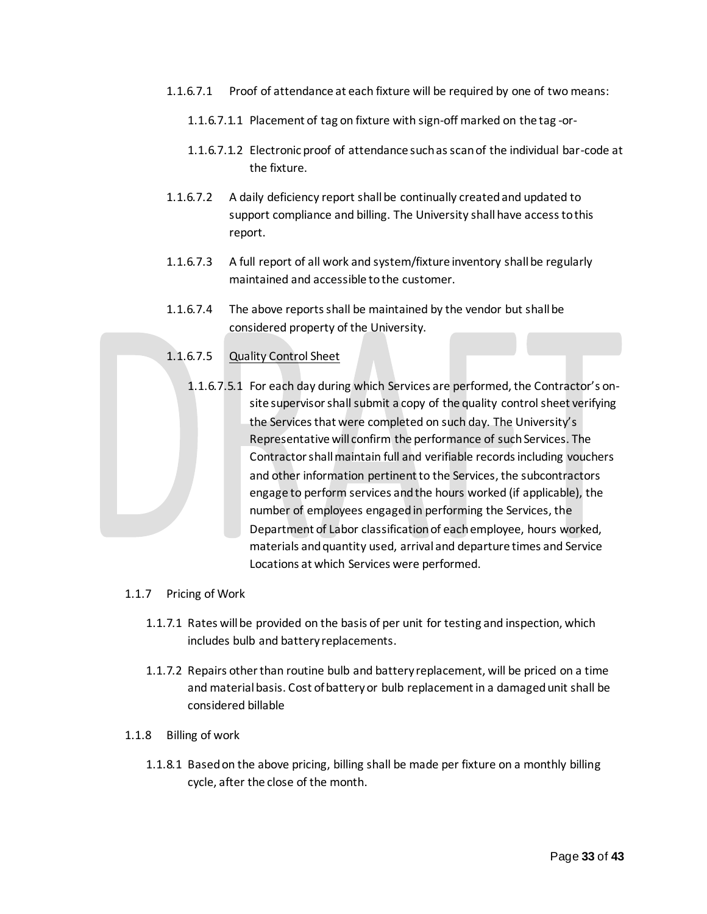- 1.1.6.7.1 Proof of attendance at each fixture will be required by one of two means:
	- 1.1.6.7.1.1 Placement of tag on fixture with sign-off marked on the tag -or-
	- 1.1.6.7.1.2 Electronic proof of attendance such as scan of the individual bar-code at the fixture.
- 1.1.6.7.2 A daily deficiency report shall be continually created and updated to support compliance and billing. The University shall have access to this report.
- 1.1.6.7.3 A full report of all work and system/fixture inventory shall be regularly maintained and accessible to the customer.
- 1.1.6.7.4 The above reports shall be maintained by the vendor but shall be considered property of the University.

# 1.1.6.7.5 Quality Control Sheet

- 1.1.6.7.5.1 For each day during which Services are performed, the Contractor's onsite supervisor shall submit a copy of the quality control sheet verifying the Services that were completed on such day. The University's Representative will confirm the performance of such Services. The Contractor shall maintain full and verifiable records including vouchers and other information pertinent to the Services, the subcontractors engage to perform services and the hours worked (if applicable), the number of employees engaged in performing the Services, the Department of Labor classification of each employee, hours worked, materials and quantity used, arrival and departure times and Service Locations at which Services were performed.
- 1.1.7 Pricing of Work
	- 1.1.7.1 Rates will be provided on the basis of per unit for testing and inspection, which includes bulb and battery replacements.
	- 1.1.7.2 Repairs other than routine bulb and battery replacement, will be priced on a time and material basis. Cost of battery or bulb replacement in a damaged unit shall be considered billable
- 1.1.8 Billing of work
	- 1.1.8.1 Based on the above pricing, billing shall be made per fixture on a monthly billing cycle, after the close of the month.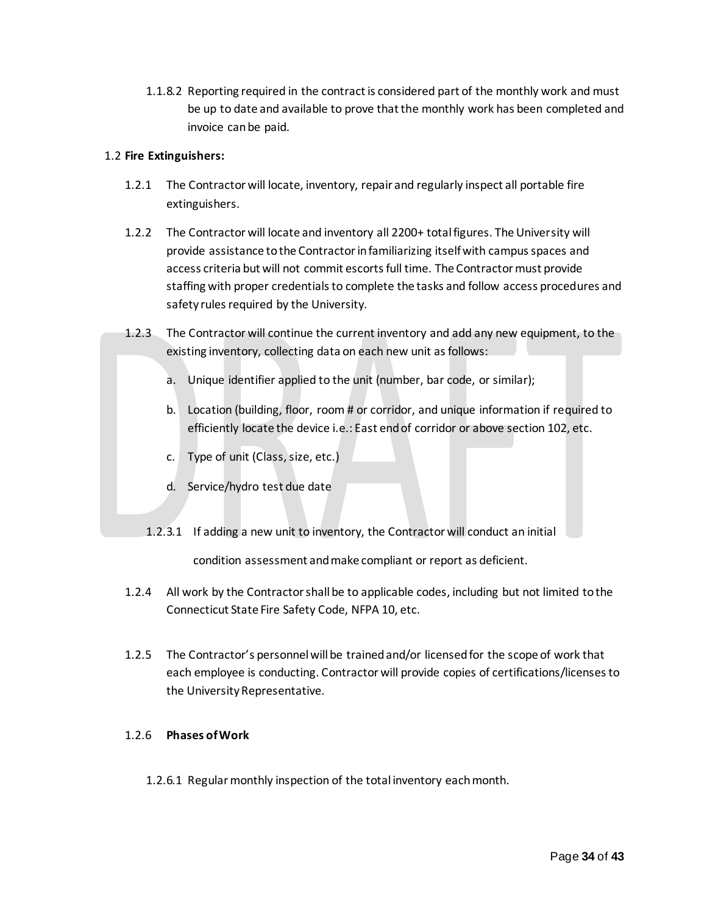1.1.8.2 Reporting required in the contract is considered part of the monthly work and must be up to date and available to prove that the monthly work has been completed and invoice can be paid.

# 1.2 **Fire Extinguishers:**

- 1.2.1 The Contractor will locate, inventory, repair and regularly inspect all portable fire extinguishers.
- 1.2.2 The Contractor will locate and inventory all 2200+ total figures. The University will provide assistance to the Contractor in familiarizing itself with campus spaces and access criteria but will not commit escorts full time. The Contractor must provide staffing with proper credentials to complete the tasks and follow access procedures and safety rules required by the University.
- 1.2.3 The Contractor will continue the current inventory and add any new equipment, to the existing inventory, collecting data on each new unit as follows:
	- a. Unique identifier applied to the unit (number, bar code, or similar);
	- b. Location (building, floor, room # or corridor, and unique information if required to efficiently locate the device i.e.: East end of corridor or above section 102, etc.
	- c. Type of unit (Class, size, etc.)
	- d. Service/hydro test due date
	- 1.2.3.1 If adding a new unit to inventory, the Contractor will conduct an initial

condition assessment and make compliant or report as deficient.

- 1.2.4 All work by the Contractor shall be to applicable codes, including but not limited to the Connecticut State Fire Safety Code, NFPA 10, etc.
- 1.2.5 The Contractor's personnel will be trained and/or licensed for the scope of work that each employee is conducting. Contractor will provide copies of certifications/licenses to the University Representative.

# 1.2.6 **Phases of Work**

1.2.6.1 Regular monthly inspection of the total inventory each month.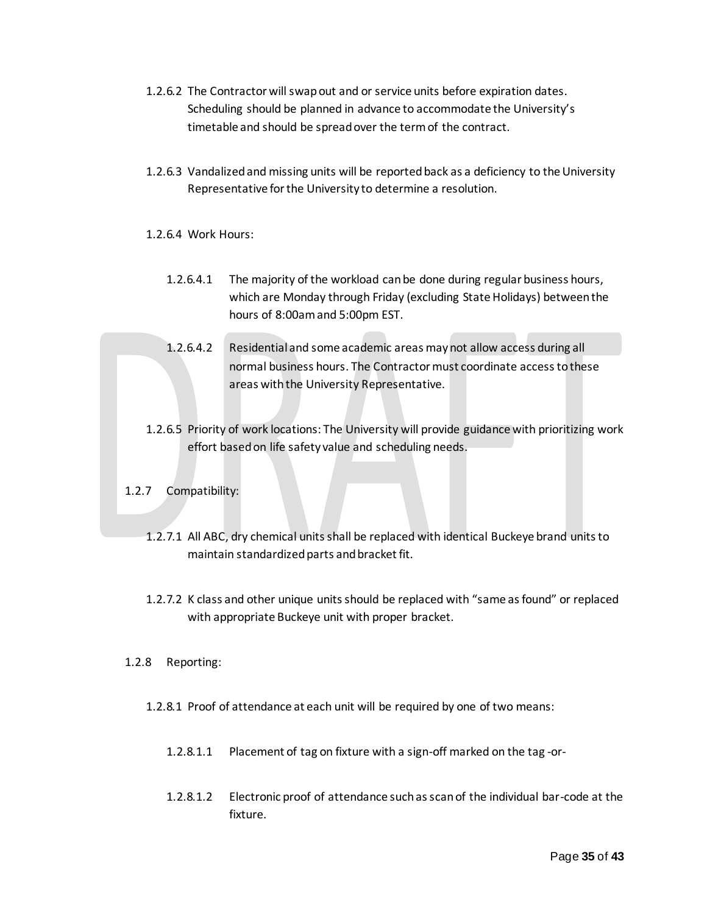- 1.2.6.2 The Contractor will swap out and or service units before expiration dates. Scheduling should be planned in advance to accommodate the University's timetable and should be spread over the term of the contract.
- 1.2.6.3 Vandalized and missing units will be reported back as a deficiency to the University Representative for the University to determine a resolution.
- 1.2.6.4 Work Hours:
	- 1.2.6.4.1 The majority of the workload can be done during regular business hours, which are Monday through Friday (excluding State Holidays) between the hours of 8:00am and 5:00pm EST.
	- 1.2.6.4.2 Residential and some academic areas may not allow access during all normal business hours. The Contractor must coordinate access to these areas with the University Representative.
- 1.2.6.5 Priority of work locations: The University will provide guidance with prioritizing work effort based on life safety value and scheduling needs.
- 1.2.7 Compatibility:
	- 1.2.7.1 All ABC, dry chemical units shall be replaced with identical Buckeye brand units to maintain standardized parts and bracket fit.
	- 1.2.7.2 K class and other unique units should be replaced with "same as found" or replaced with appropriate Buckeye unit with proper bracket.
- 1.2.8 Reporting:
	- 1.2.8.1 Proof of attendance at each unit will be required by one of two means:
		- 1.2.8.1.1 Placement of tag on fixture with a sign-off marked on the tag -or-
		- 1.2.8.1.2 Electronic proof of attendance such as scan of the individual bar-code at the fixture.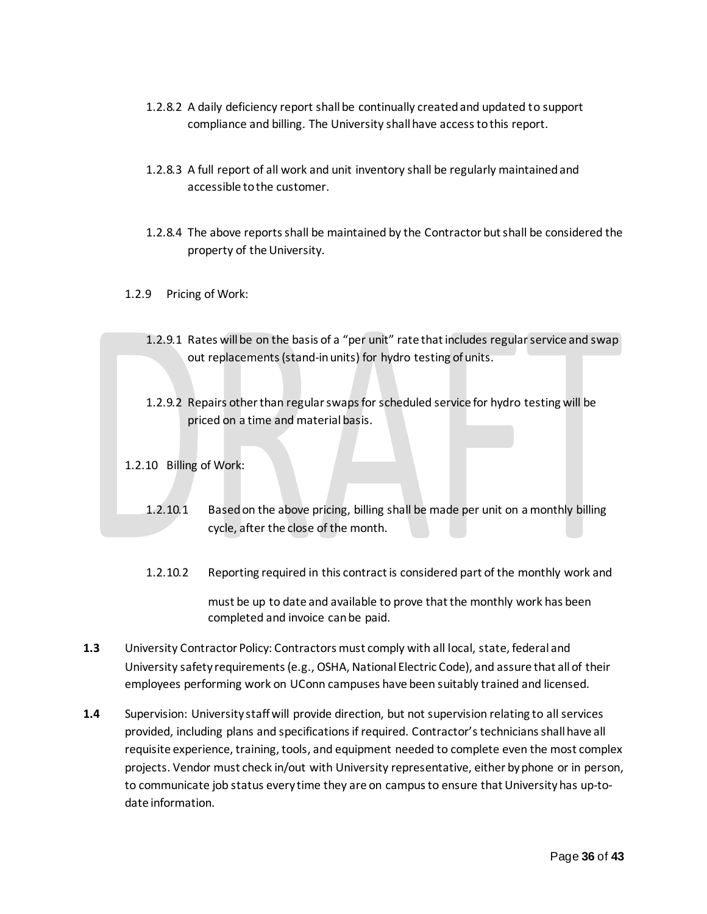- 1.2.8.2 A daily deficiency report shall be continually created and updated to support compliance and billing. The University shall have access to this report.
- 1.2.8.3 A full report of all work and unit inventory shall be regularly maintained and accessible to the customer.
- 1.2.8.4 The above reports shall be maintained by the Contractor but shall be considered the property of the University.
- 1.2.9 Pricing of Work:
	- 1.2.9.1 Rates will be on the basis of a "per unit" rate that includes regular service and swap out replacements (stand-in units) for hydro testing of units.
	- 1.2.9.2 Repairs other than regular swaps for scheduled service for hydro testing will be priced on a time and material basis.
- 1.2.10 Billing of Work:
	- 1.2.10.1 Based on the above pricing, billing shall be made per unit on a monthly billing cycle, after the close of the month.
	- 1.2.10.2 Reporting required in this contract is considered part of the monthly work and

 must be up to date and available to prove that the monthly work has been completed and invoice can be paid.

- **1.3** University Contractor Policy: Contractors must comply with all local, state, federal and University safety requirements (e.g., OSHA, National Electric Code), and assure that all of their employees performing work on UConn campuses have been suitably trained and licensed.
- **1.4** Supervision: University staff will provide direction, but not supervision relating to all services provided, including plans and specifications if required. Contractor's technicians shall have all requisite experience, training, tools, and equipment needed to complete even the most complex projects. Vendor must check in/out with University representative, either by phone or in person, to communicate job status every time they are on campus to ensure that University has up-todate information.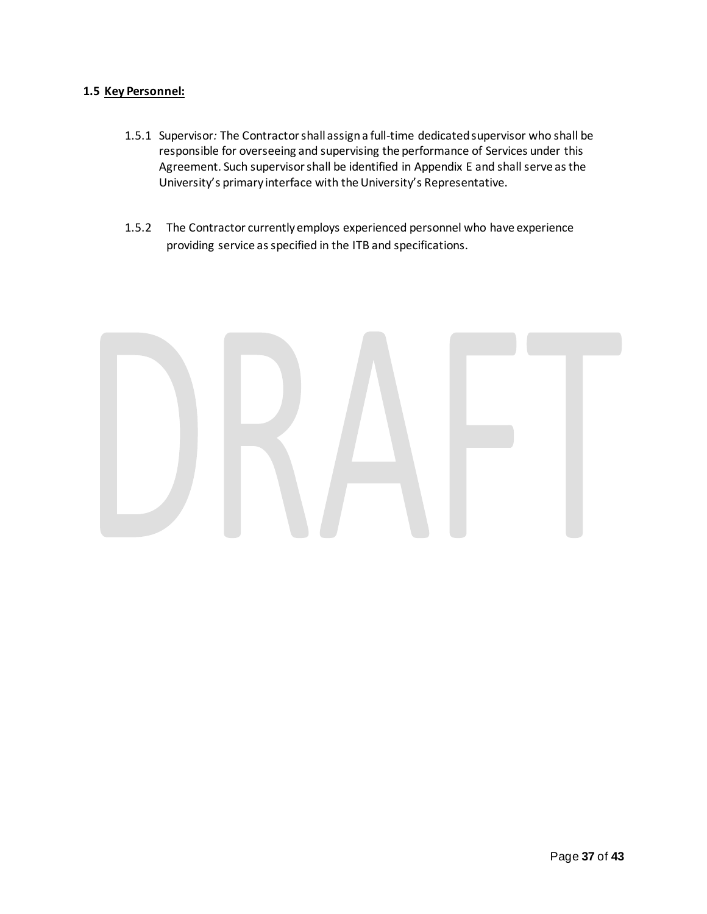# **1.5 Key Personnel:**

- 1.5.1 Supervisor*:* The Contractor shall assign a full-time dedicated supervisor who shall be responsible for overseeing and supervising the performance of Services under this Agreement. Such supervisor shall be identified in Appendix E and shall serve as the University's primary interface with the University's Representative.
- 1.5.2 The Contractor currently employs experienced personnel who have experience providing service as specified in the ITB and specifications.

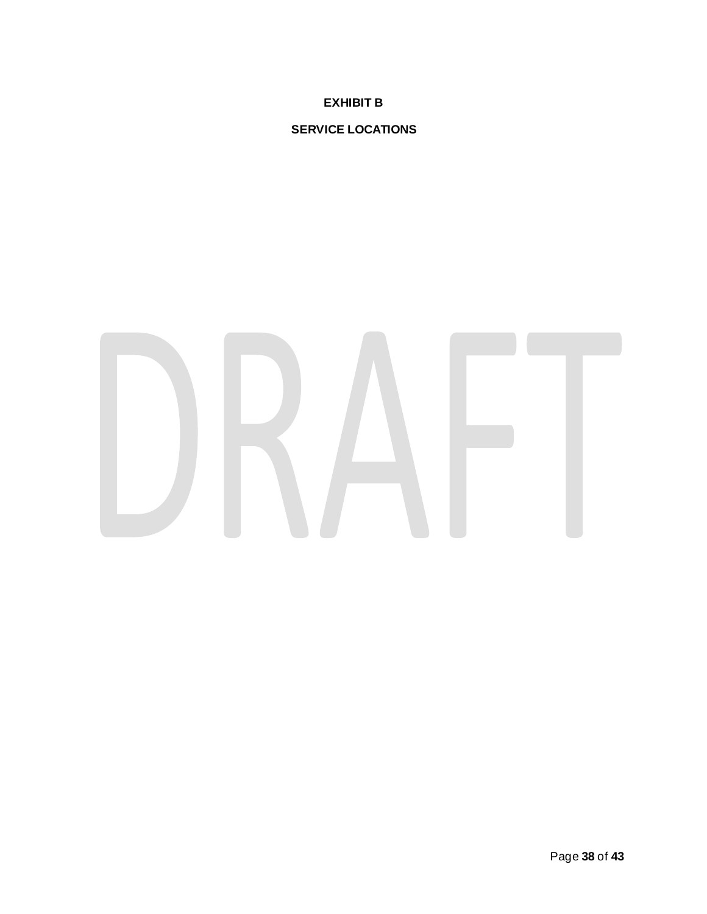**EXHIBIT B**

# **SERVICE LOCATIONS**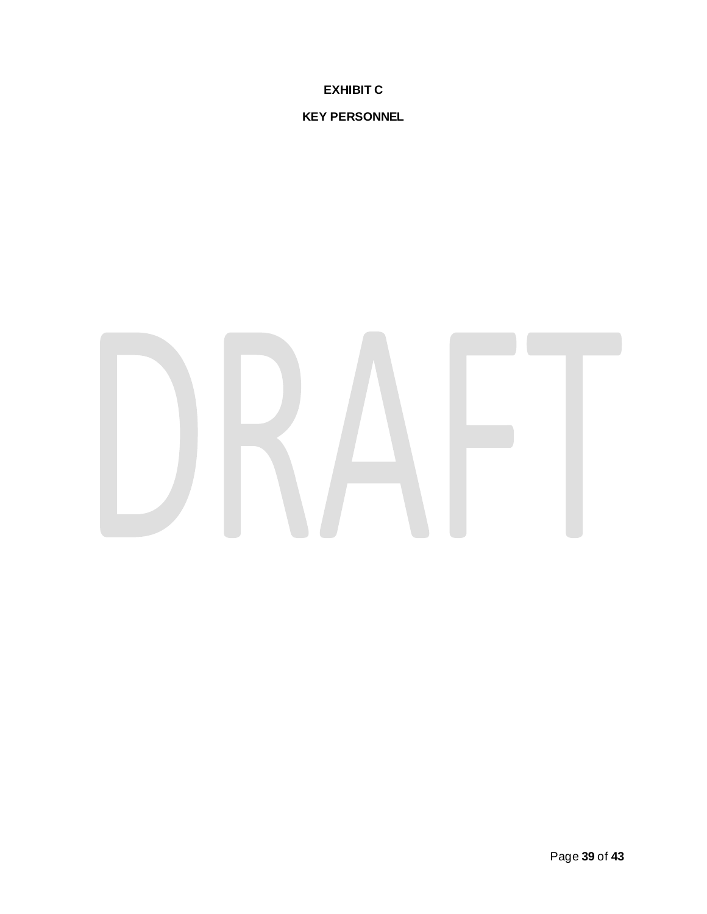**EXHIBIT C**

**KEY PERSONNEL**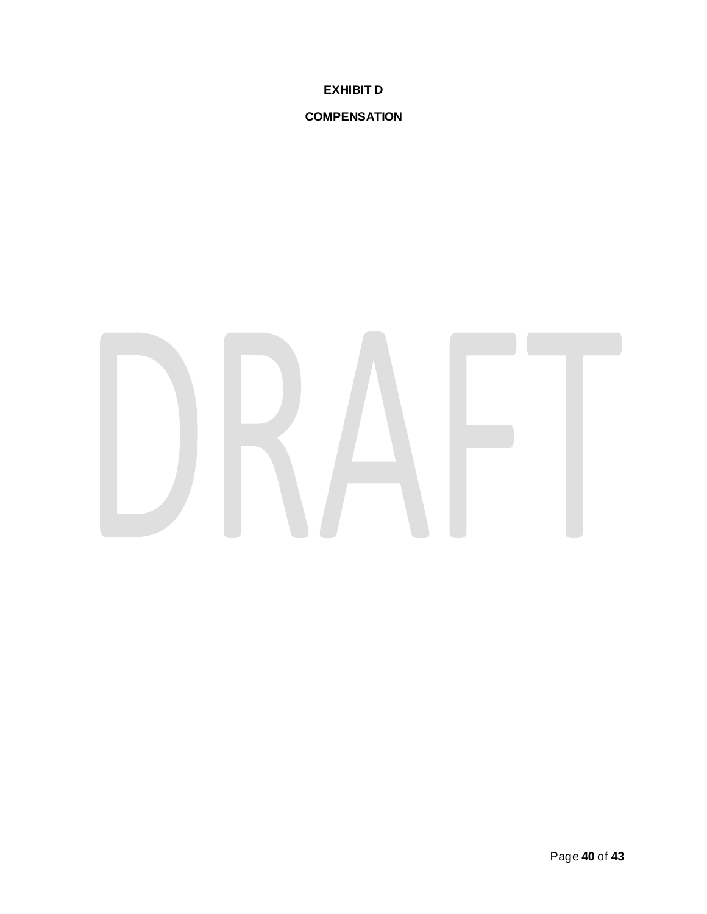**EXHIBIT D**

# **COMPENSATION**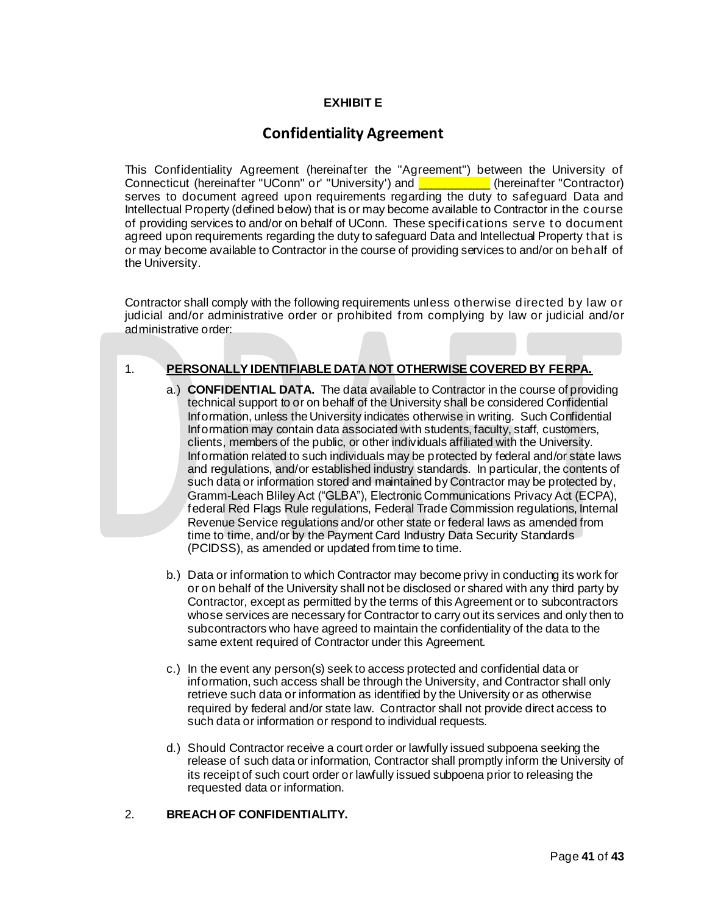# **EXHIBIT E**

# **Confidentiality Agreement**

This Confidentiality Agreement (hereinafter the "Agreement") between the University of Connecticut (hereinafter "UConn" or' "University') and **WECON LIMITS** (hereinafter "Contractor) serves to document agreed upon requirements regarding the duty to safeguard Data and Intellectual Property (defined below) that is or may become available to Contractor in the course of providing services to and/or on behalf of UConn. These specifications serve t o document agreed upon requirements regarding the duty to safeguard Data and Intellectual Property that is or may become available to Contractor in the course of providing services to and/or on behalf of the University.

Contractor shall comply with the following requirements unless otherwise directed by law or judicial and/or administrative order or prohibited from complying by law or judicial and/or administrative order:

# 1. **PERSONALLY IDENTIFIABLE DATA NOT OTHERWISE COVERED BY FERPA.**

- a.) **CONFIDENTIAL DATA.** The data available to Contractor in the course of providing technical support to or on behalf of the University shall be considered Confidential Information, unless the University indicates otherwise in writing. Such Confidential Information may contain data associated with students, faculty, staff, customers, clients, members of the public, or other individuals affiliated with the University. Information related to such individuals may be protected by federal and/or state laws and regulations, and/or established industry standards. In particular, the contents of such data or information stored and maintained by Contractor may be protected by, Gramm-Leach Bliley Act ("GLBA"), Electronic Communications Privacy Act (ECPA), federal Red Flags Rule regulations, Federal Trade Commission regulations, Internal Revenue Service regulations and/or other state or federal laws as amended from time to time, and/or by the Payment Card Industry Data Security Standards (PCIDSS), as amended or updated from time to time.
- b.) Data or information to which Contractor may become privy in conducting its work for or on behalf of the University shall not be disclosed or shared with any third party by Contractor, except as permitted by the terms of this Agreement or to subcontractors whose services are necessary for Contractor to carry out its services and only then to subcontractors who have agreed to maintain the confidentiality of the data to the same extent required of Contractor under this Agreement.
- c.) In the event any person(s) seek to access protected and confidential data or information, such access shall be through the University, and Contractor shall only retrieve such data or information as identified by the University or as otherwise required by federal and/or state law. Contractor shall not provide direct access to such data or information or respond to individual requests.
- d.) Should Contractor receive a court order or lawfully issued subpoena seeking the release of such data or information, Contractor shall promptly inform the University of its receipt of such court order or lawfully issued subpoena prior to releasing the requested data or information.

# 2. **BREACH OF CONFIDENTIALITY.**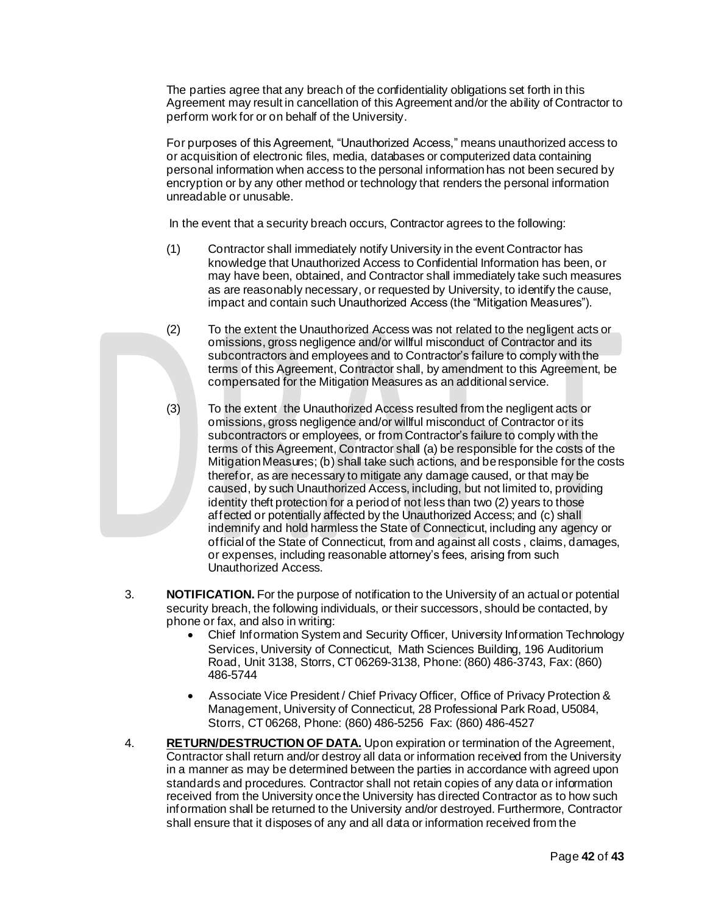The parties agree that any breach of the confidentiality obligations set forth in this Agreement may result in cancellation of this Agreement and/or the ability of Contractor to perform work for or on behalf of the University.

For purposes of this Agreement, "Unauthorized Access," means unauthorized access to or acquisition of electronic files, media, databases or computerized data containing personal information when access to the personal information has not been secured by encryption or by any other method or technology that renders the personal information unreadable or unusable.

In the event that a security breach occurs, Contractor agrees to the following:

- (1) Contractor shall immediately notify University in the event Contractor has knowledge that Unauthorized Access to Confidential Information has been, or may have been, obtained, and Contractor shall immediately take such measures as are reasonably necessary, or requested by University, to identify the cause, impact and contain such Unauthorized Access (the "Mitigation Measures").
- (2) To the extent the Unauthorized Access was not related to the negligent acts or omissions, gross negligence and/or willful misconduct of Contractor and its subcontractors and employees and to Contractor's failure to comply with the terms of this Agreement, Contractor shall, by amendment to this Agreement, be compensated for the Mitigation Measures as an additional service.
- (3) To the extent the Unauthorized Access resulted from the negligent acts or omissions, gross negligence and/or willful misconduct of Contractor or its subcontractors or employees, or from Contractor's failure to comply with the terms of this Agreement, Contractor shall (a) be responsible for the costs of the Mitigation Measures; (b) shall take such actions, and be responsible for the costs therefor, as are necessary to mitigate any damage caused, or that may be caused, by such Unauthorized Access, including, but not limited to, providing identity theft protection for a period of not less than two (2) years to those affected or potentially affected by the Unauthorized Access; and (c) shall indemnify and hold harmless the State of Connecticut, including any agency or official of the State of Connecticut, from and against all costs , claims, damages, or expenses, including reasonable attorney's fees, arising from such Unauthorized Access.
- 3. **NOTIFICATION.** For the purpose of notification to the University of an actual or potential security breach, the following individuals, or their successors, should be contacted, by phone or fax, and also in writing:
	- Chief Information System and Security Officer, University Information Technology Services, University of Connecticut, Math Sciences Building, 196 Auditorium Road, Unit 3138, Storrs, CT 06269-3138, Phone: (860) 486-3743, Fax: (860) 486-5744
	- Associate Vice President / Chief Privacy Officer, Office of Privacy Protection & Management, University of Connecticut, 28 Professional Park Road, U5084, Storrs, CT 06268, Phone: (860) 486-5256 Fax: (860) 486-4527
- 4. **RETURN/DESTRUCTION OF DATA.** Upon expiration or termination of the Agreement, Contractor shall return and/or destroy all data or information received from the University in a manner as may be determined between the parties in accordance with agreed upon standards and procedures. Contractor shall not retain copies of any data or information received from the University once the University has directed Contractor as to how such information shall be returned to the University and/or destroyed. Furthermore, Contractor shall ensure that it disposes of any and all data or information received from the